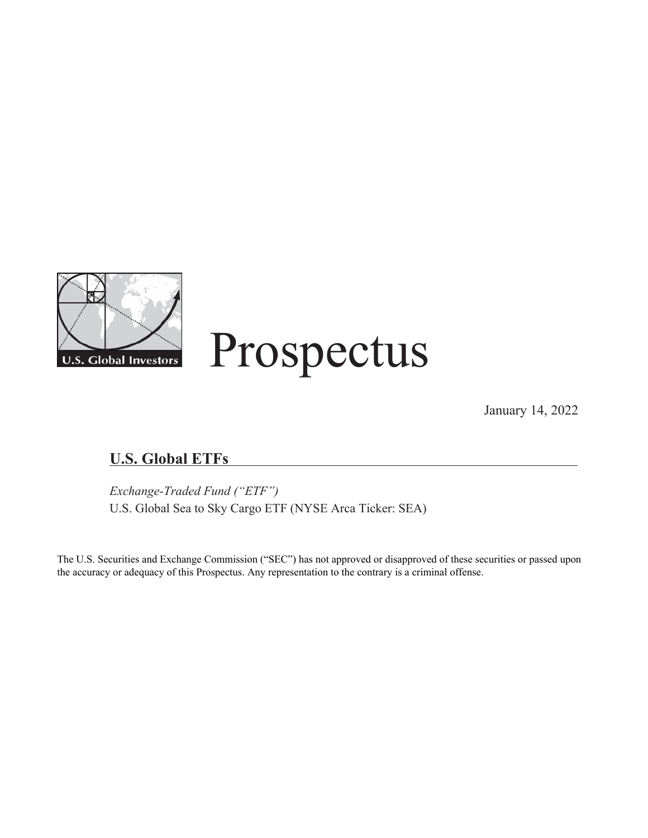

January 14, 2022

# **U.S. Global ETFs**

*Exchange-Traded Fund ("ETF")* U.S. Global Sea to Sky Cargo ETF (NYSE Arca Ticker: SEA)

The U.S. Securities and Exchange Commission ("SEC") has not approved or disapproved of these securities or passed upon the accuracy or adequacy of this Prospectus. Any representation to the contrary is a criminal offense.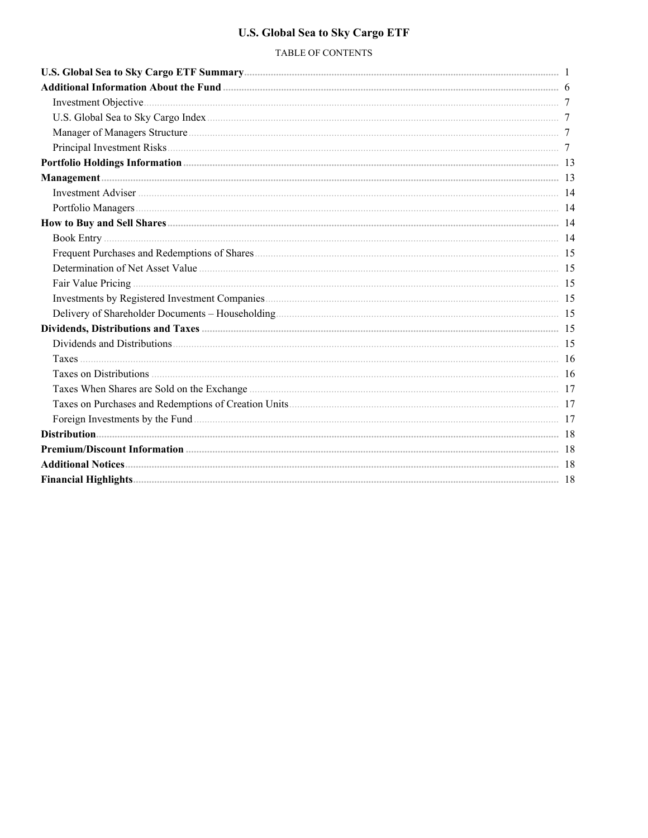## **U.S. Global Sea to Sky Cargo ETF**

## TABLE OF CONTENTS

| Foreign Investments by the Fund 2000 and 2000 and 2000 and 2000 and 2000 and 2000 and 2000 and 2000 and 2000 and 2000 and 2000 and 2000 and 2000 and 2000 and 2000 and 2000 and 2000 and 2000 and 2000 and 2000 and 2000 and 2 |  |
|--------------------------------------------------------------------------------------------------------------------------------------------------------------------------------------------------------------------------------|--|
|                                                                                                                                                                                                                                |  |
|                                                                                                                                                                                                                                |  |
|                                                                                                                                                                                                                                |  |
|                                                                                                                                                                                                                                |  |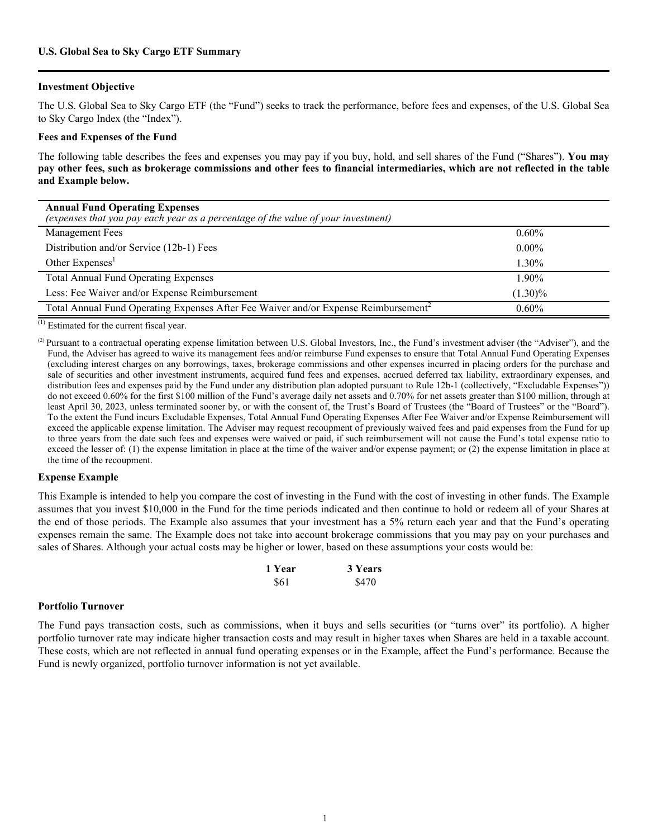#### <span id="page-2-0"></span>**Investment Objective**

The U.S. Global Sea to Sky Cargo ETF (the "Fund") seeks to track the performance, before fees and expenses, of the U.S. Global Sea to Sky Cargo Index (the "Index").

#### **Fees and Expenses of the Fund**

The following table describes the fees and expenses you may pay if you buy, hold, and sell shares of the Fund ("Shares"). **You may pay other fees, such as brokerage commissions and other fees to financial intermediaries, which are not reflected in the table and Example below.**

| <b>Annual Fund Operating Expenses</b><br>(expenses that you pay each year as a percentage of the value of your investment) |            |
|----------------------------------------------------------------------------------------------------------------------------|------------|
| <b>Management Fees</b>                                                                                                     | $0.60\%$   |
| Distribution and/or Service (12b-1) Fees                                                                                   | $0.00\%$   |
| Other $Express1$                                                                                                           | 1.30%      |
| <b>Total Annual Fund Operating Expenses</b>                                                                                | 1.90%      |
| Less: Fee Waiver and/or Expense Reimbursement                                                                              | $(1.30)\%$ |
| Total Annual Fund Operating Expenses After Fee Waiver and/or Expense Reimbursement <sup>2</sup>                            | $0.60\%$   |

(1) Estimated for the current fiscal year.

<sup>(2)</sup> Pursuant to a contractual operating expense limitation between U.S. Global Investors, Inc., the Fund's investment adviser (the "Adviser"), and the Fund, the Adviser has agreed to waive its management fees and/or reimburse Fund expenses to ensure that Total Annual Fund Operating Expenses (excluding interest charges on any borrowings, taxes, brokerage commissions and other expenses incurred in placing orders for the purchase and sale of securities and other investment instruments, acquired fund fees and expenses, accrued deferred tax liability, extraordinary expenses, and distribution fees and expenses paid by the Fund under any distribution plan adopted pursuant to Rule 12b-1 (collectively, "Excludable Expenses")) do not exceed 0.60% for the first \$100 million of the Fund's average daily net assets and 0.70% for net assets greater than \$100 million, through at least April 30, 2023, unless terminated sooner by, or with the consent of, the Trust's Board of Trustees (the "Board of Trustees" or the "Board"). To the extent the Fund incurs Excludable Expenses, Total Annual Fund Operating Expenses After Fee Waiver and/or Expense Reimbursement will exceed the applicable expense limitation. The Adviser may request recoupment of previously waived fees and paid expenses from the Fund for up to three years from the date such fees and expenses were waived or paid, if such reimbursement will not cause the Fund's total expense ratio to exceed the lesser of: (1) the expense limitation in place at the time of the waiver and/or expense payment; or (2) the expense limitation in place at the time of the recoupment.

#### **Expense Example**

This Example is intended to help you compare the cost of investing in the Fund with the cost of investing in other funds. The Example assumes that you invest \$10,000 in the Fund for the time periods indicated and then continue to hold or redeem all of your Shares at the end of those periods. The Example also assumes that your investment has a 5% return each year and that the Fund's operating expenses remain the same. The Example does not take into account brokerage commissions that you may pay on your purchases and sales of Shares. Although your actual costs may be higher or lower, based on these assumptions your costs would be:

| 1 Year | 3 Years |
|--------|---------|
| \$61   | \$470   |

#### **Portfolio Turnover**

The Fund pays transaction costs, such as commissions, when it buys and sells securities (or "turns over" its portfolio). A higher portfolio turnover rate may indicate higher transaction costs and may result in higher taxes when Shares are held in a taxable account. These costs, which are not reflected in annual fund operating expenses or in the Example, affect the Fund's performance. Because the Fund is newly organized, portfolio turnover information is not yet available.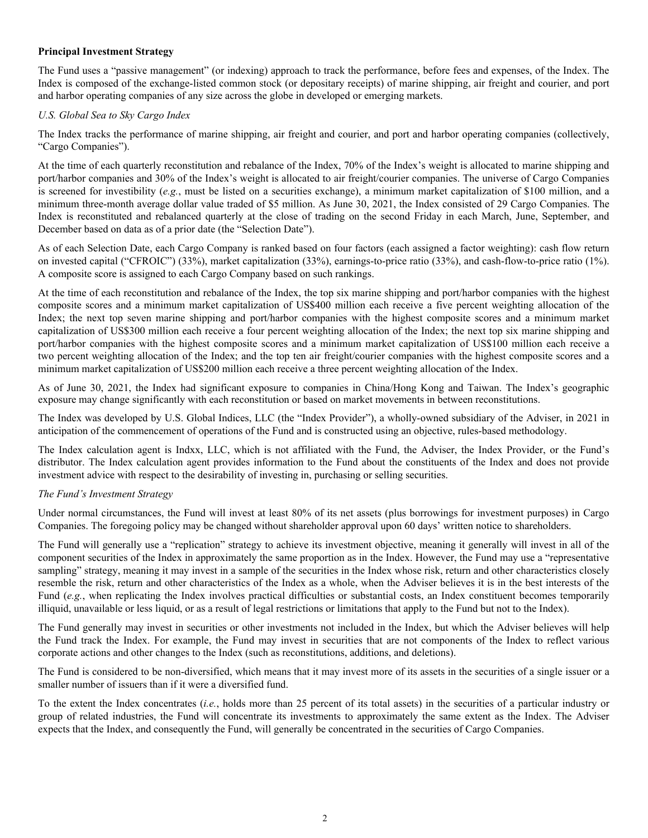#### **Principal Investment Strategy**

The Fund uses a "passive management" (or indexing) approach to track the performance, before fees and expenses, of the Index. The Index is composed of the exchange-listed common stock (or depositary receipts) of marine shipping, air freight and courier, and port and harbor operating companies of any size across the globe in developed or emerging markets.

#### *U.S. Global Sea to Sky Cargo Index*

The Index tracks the performance of marine shipping, air freight and courier, and port and harbor operating companies (collectively, "Cargo Companies").

At the time of each quarterly reconstitution and rebalance of the Index, 70% of the Index's weight is allocated to marine shipping and port/harbor companies and 30% of the Index's weight is allocated to air freight/courier companies. The universe of Cargo Companies is screened for investibility (*e.g.*, must be listed on a securities exchange), a minimum market capitalization of \$100 million, and a minimum three-month average dollar value traded of \$5 million. As June 30, 2021, the Index consisted of 29 Cargo Companies. The Index is reconstituted and rebalanced quarterly at the close of trading on the second Friday in each March, June, September, and December based on data as of a prior date (the "Selection Date").

As of each Selection Date, each Cargo Company is ranked based on four factors (each assigned a factor weighting): cash flow return on invested capital ("CFROIC") (33%), market capitalization (33%), earnings-to-price ratio (33%), and cash-flow-to-price ratio (1%). A composite score is assigned to each Cargo Company based on such rankings.

At the time of each reconstitution and rebalance of the Index, the top six marine shipping and port/harbor companies with the highest composite scores and a minimum market capitalization of US\$400 million each receive a five percent weighting allocation of the Index; the next top seven marine shipping and port/harbor companies with the highest composite scores and a minimum market capitalization of US\$300 million each receive a four percent weighting allocation of the Index; the next top six marine shipping and port/harbor companies with the highest composite scores and a minimum market capitalization of US\$100 million each receive a two percent weighting allocation of the Index; and the top ten air freight/courier companies with the highest composite scores and a minimum market capitalization of US\$200 million each receive a three percent weighting allocation of the Index.

As of June 30, 2021, the Index had significant exposure to companies in China/Hong Kong and Taiwan. The Index's geographic exposure may change significantly with each reconstitution or based on market movements in between reconstitutions.

The Index was developed by U.S. Global Indices, LLC (the "Index Provider"), a wholly-owned subsidiary of the Adviser, in 2021 in anticipation of the commencement of operations of the Fund and is constructed using an objective, rules-based methodology.

The Index calculation agent is Indxx, LLC, which is not affiliated with the Fund, the Adviser, the Index Provider, or the Fund's distributor. The Index calculation agent provides information to the Fund about the constituents of the Index and does not provide investment advice with respect to the desirability of investing in, purchasing or selling securities.

#### *The Fund's Investment Strategy*

Under normal circumstances, the Fund will invest at least 80% of its net assets (plus borrowings for investment purposes) in Cargo Companies. The foregoing policy may be changed without shareholder approval upon 60 days' written notice to shareholders.

The Fund will generally use a "replication" strategy to achieve its investment objective, meaning it generally will invest in all of the component securities of the Index in approximately the same proportion as in the Index. However, the Fund may use a "representative sampling" strategy, meaning it may invest in a sample of the securities in the Index whose risk, return and other characteristics closely resemble the risk, return and other characteristics of the Index as a whole, when the Adviser believes it is in the best interests of the Fund (*e.g.*, when replicating the Index involves practical difficulties or substantial costs, an Index constituent becomes temporarily illiquid, unavailable or less liquid, or as a result of legal restrictions or limitations that apply to the Fund but not to the Index).

The Fund generally may invest in securities or other investments not included in the Index, but which the Adviser believes will help the Fund track the Index. For example, the Fund may invest in securities that are not components of the Index to reflect various corporate actions and other changes to the Index (such as reconstitutions, additions, and deletions).

The Fund is considered to be non-diversified, which means that it may invest more of its assets in the securities of a single issuer or a smaller number of issuers than if it were a diversified fund.

To the extent the Index concentrates (*i.e.*, holds more than 25 percent of its total assets) in the securities of a particular industry or group of related industries, the Fund will concentrate its investments to approximately the same extent as the Index. The Adviser expects that the Index, and consequently the Fund, will generally be concentrated in the securities of Cargo Companies.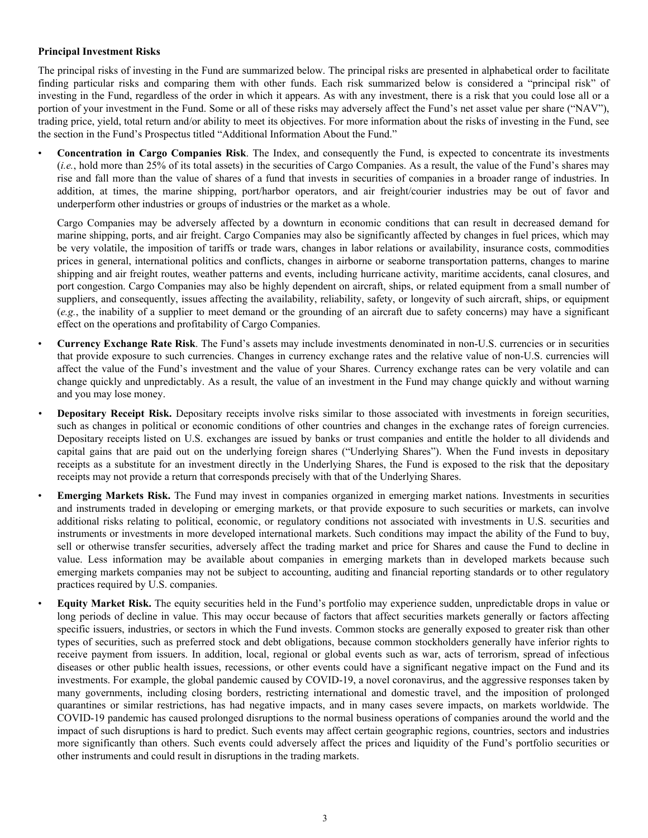#### **Principal Investment Risks**

The principal risks of investing in the Fund are summarized below. The principal risks are presented in alphabetical order to facilitate finding particular risks and comparing them with other funds. Each risk summarized below is considered a "principal risk" of investing in the Fund, regardless of the order in which it appears. As with any investment, there is a risk that you could lose all or a portion of your investment in the Fund. Some or all of these risks may adversely affect the Fund's net asset value per share ("NAV"), trading price, yield, total return and/or ability to meet its objectives. For more information about the risks of investing in the Fund, see the section in the Fund's Prospectus titled "Additional Information About the Fund."

• **Concentration in Cargo Companies Risk**. The Index, and consequently the Fund, is expected to concentrate its investments (*i.e.*, hold more than 25% of its total assets) in the securities of Cargo Companies. As a result, the value of the Fund's shares may rise and fall more than the value of shares of a fund that invests in securities of companies in a broader range of industries. In addition, at times, the marine shipping, port/harbor operators, and air freight/courier industries may be out of favor and underperform other industries or groups of industries or the market as a whole.

Cargo Companies may be adversely affected by a downturn in economic conditions that can result in decreased demand for marine shipping, ports, and air freight. Cargo Companies may also be significantly affected by changes in fuel prices, which may be very volatile, the imposition of tariffs or trade wars, changes in labor relations or availability, insurance costs, commodities prices in general, international politics and conflicts, changes in airborne or seaborne transportation patterns, changes to marine shipping and air freight routes, weather patterns and events, including hurricane activity, maritime accidents, canal closures, and port congestion. Cargo Companies may also be highly dependent on aircraft, ships, or related equipment from a small number of suppliers, and consequently, issues affecting the availability, reliability, safety, or longevity of such aircraft, ships, or equipment (*e.g.*, the inability of a supplier to meet demand or the grounding of an aircraft due to safety concerns) may have a significant effect on the operations and profitability of Cargo Companies.

- **Currency Exchange Rate Risk**. The Fund's assets may include investments denominated in non-U.S. currencies or in securities that provide exposure to such currencies. Changes in currency exchange rates and the relative value of non-U.S. currencies will affect the value of the Fund's investment and the value of your Shares. Currency exchange rates can be very volatile and can change quickly and unpredictably. As a result, the value of an investment in the Fund may change quickly and without warning and you may lose money.
- **Depositary Receipt Risk.** Depositary receipts involve risks similar to those associated with investments in foreign securities, such as changes in political or economic conditions of other countries and changes in the exchange rates of foreign currencies. Depositary receipts listed on U.S. exchanges are issued by banks or trust companies and entitle the holder to all dividends and capital gains that are paid out on the underlying foreign shares ("Underlying Shares"). When the Fund invests in depositary receipts as a substitute for an investment directly in the Underlying Shares, the Fund is exposed to the risk that the depositary receipts may not provide a return that corresponds precisely with that of the Underlying Shares.
	- **Emerging Markets Risk.** The Fund may invest in companies organized in emerging market nations. Investments in securities and instruments traded in developing or emerging markets, or that provide exposure to such securities or markets, can involve additional risks relating to political, economic, or regulatory conditions not associated with investments in U.S. securities and instruments or investments in more developed international markets. Such conditions may impact the ability of the Fund to buy, sell or otherwise transfer securities, adversely affect the trading market and price for Shares and cause the Fund to decline in value. Less information may be available about companies in emerging markets than in developed markets because such emerging markets companies may not be subject to accounting, auditing and financial reporting standards or to other regulatory practices required by U.S. companies.
	- **Equity Market Risk.** The equity securities held in the Fund's portfolio may experience sudden, unpredictable drops in value or long periods of decline in value. This may occur because of factors that affect securities markets generally or factors affecting specific issuers, industries, or sectors in which the Fund invests. Common stocks are generally exposed to greater risk than other types of securities, such as preferred stock and debt obligations, because common stockholders generally have inferior rights to receive payment from issuers. In addition, local, regional or global events such as war, acts of terrorism, spread of infectious diseases or other public health issues, recessions, or other events could have a significant negative impact on the Fund and its investments. For example, the global pandemic caused by COVID-19, a novel coronavirus, and the aggressive responses taken by many governments, including closing borders, restricting international and domestic travel, and the imposition of prolonged quarantines or similar restrictions, has had negative impacts, and in many cases severe impacts, on markets worldwide. The COVID-19 pandemic has caused prolonged disruptions to the normal business operations of companies around the world and the impact of such disruptions is hard to predict. Such events may affect certain geographic regions, countries, sectors and industries more significantly than others. Such events could adversely affect the prices and liquidity of the Fund's portfolio securities or other instruments and could result in disruptions in the trading markets.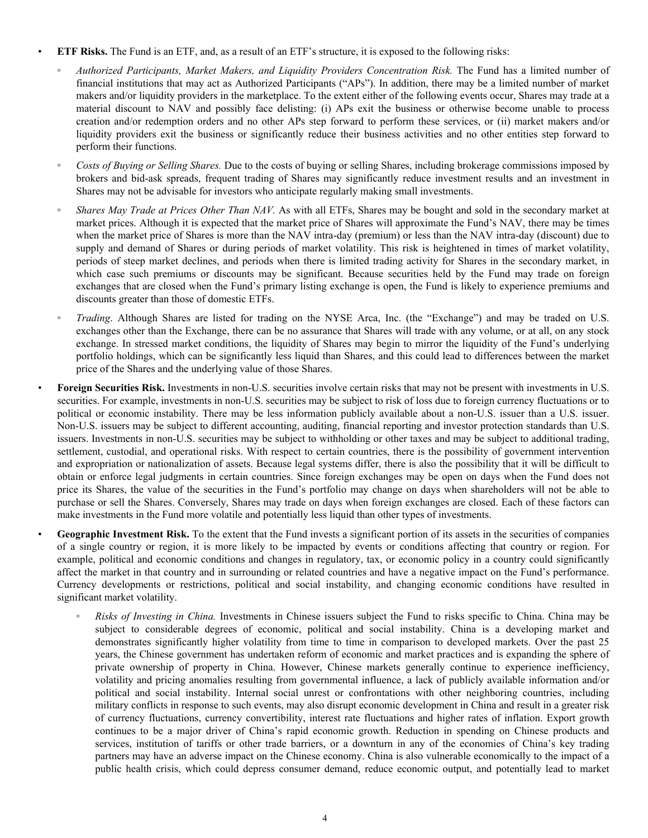#### • **ETF Risks.** The Fund is an ETF, and, as a result of an ETF's structure, it is exposed to the following risks:

- *Authorized Participants, Market Makers, and Liquidity Providers Concentration Risk.* The Fund has a limited number of financial institutions that may act as Authorized Participants ("APs"). In addition, there may be a limited number of market makers and/or liquidity providers in the marketplace. To the extent either of the following events occur, Shares may trade at a material discount to NAV and possibly face delisting: (i) APs exit the business or otherwise become unable to process creation and/or redemption orders and no other APs step forward to perform these services, or (ii) market makers and/or liquidity providers exit the business or significantly reduce their business activities and no other entities step forward to perform their functions.
- *Costs of Buying or Selling Shares.* Due to the costs of buying or selling Shares, including brokerage commissions imposed by brokers and bid-ask spreads, frequent trading of Shares may significantly reduce investment results and an investment in Shares may not be advisable for investors who anticipate regularly making small investments.
- *Shares May Trade at Prices Other Than NAV.* As with all ETFs, Shares may be bought and sold in the secondary market at market prices. Although it is expected that the market price of Shares will approximate the Fund's NAV, there may be times when the market price of Shares is more than the NAV intra-day (premium) or less than the NAV intra-day (discount) due to supply and demand of Shares or during periods of market volatility. This risk is heightened in times of market volatility, periods of steep market declines, and periods when there is limited trading activity for Shares in the secondary market, in which case such premiums or discounts may be significant. Because securities held by the Fund may trade on foreign exchanges that are closed when the Fund's primary listing exchange is open, the Fund is likely to experience premiums and discounts greater than those of domestic ETFs.
- *Trading*. Although Shares are listed for trading on the NYSE Arca, Inc. (the "Exchange") and may be traded on U.S. exchanges other than the Exchange, there can be no assurance that Shares will trade with any volume, or at all, on any stock exchange. In stressed market conditions, the liquidity of Shares may begin to mirror the liquidity of the Fund's underlying portfolio holdings, which can be significantly less liquid than Shares, and this could lead to differences between the market price of the Shares and the underlying value of those Shares.
- **Foreign Securities Risk.** Investments in non-U.S. securities involve certain risks that may not be present with investments in U.S. securities. For example, investments in non-U.S. securities may be subject to risk of loss due to foreign currency fluctuations or to political or economic instability. There may be less information publicly available about a non-U.S. issuer than a U.S. issuer. Non-U.S. issuers may be subject to different accounting, auditing, financial reporting and investor protection standards than U.S. issuers. Investments in non-U.S. securities may be subject to withholding or other taxes and may be subject to additional trading, settlement, custodial, and operational risks. With respect to certain countries, there is the possibility of government intervention and expropriation or nationalization of assets. Because legal systems differ, there is also the possibility that it will be difficult to obtain or enforce legal judgments in certain countries. Since foreign exchanges may be open on days when the Fund does not price its Shares, the value of the securities in the Fund's portfolio may change on days when shareholders will not be able to purchase or sell the Shares. Conversely, Shares may trade on days when foreign exchanges are closed. Each of these factors can make investments in the Fund more volatile and potentially less liquid than other types of investments.

**Geographic Investment Risk.** To the extent that the Fund invests a significant portion of its assets in the securities of companies of a single country or region, it is more likely to be impacted by events or conditions affecting that country or region. For example, political and economic conditions and changes in regulatory, tax, or economic policy in a country could significantly affect the market in that country and in surrounding or related countries and have a negative impact on the Fund's performance. Currency developments or restrictions, political and social instability, and changing economic conditions have resulted in significant market volatility.

*Risks of Investing in China*. Investments in Chinese issuers subject the Fund to risks specific to China. China may be subject to considerable degrees of economic, political and social instability. China is a developing market and demonstrates significantly higher volatility from time to time in comparison to developed markets. Over the past 25 years, the Chinese government has undertaken reform of economic and market practices and is expanding the sphere of private ownership of property in China. However, Chinese markets generally continue to experience inefficiency, volatility and pricing anomalies resulting from governmental influence, a lack of publicly available information and/or political and social instability. Internal social unrest or confrontations with other neighboring countries, including military conflicts in response to such events, may also disrupt economic development in China and result in a greater risk of currency fluctuations, currency convertibility, interest rate fluctuations and higher rates of inflation. Export growth continues to be a major driver of China's rapid economic growth. Reduction in spending on Chinese products and services, institution of tariffs or other trade barriers, or a downturn in any of the economies of China's key trading partners may have an adverse impact on the Chinese economy. China is also vulnerable economically to the impact of a public health crisis, which could depress consumer demand, reduce economic output, and potentially lead to market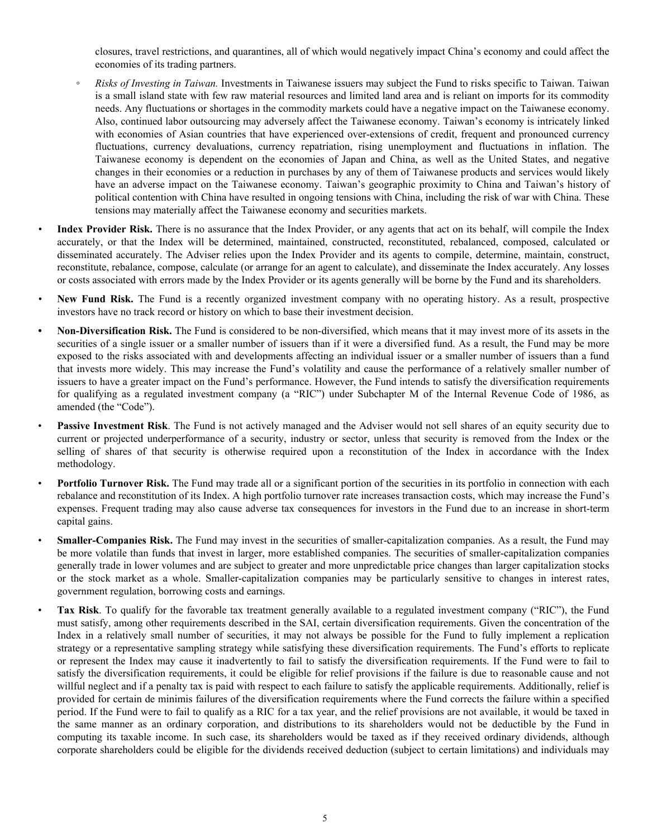closures, travel restrictions, and quarantines, all of which would negatively impact China's economy and could affect the economies of its trading partners.

- *Risks of Investing in Taiwan.* Investments in Taiwanese issuers may subject the Fund to risks specific to Taiwan. Taiwan is a small island state with few raw material resources and limited land area and is reliant on imports for its commodity needs. Any fluctuations or shortages in the commodity markets could have a negative impact on the Taiwanese economy. Also, continued labor outsourcing may adversely affect the Taiwanese economy. Taiwan's economy is intricately linked with economies of Asian countries that have experienced over-extensions of credit, frequent and pronounced currency fluctuations, currency devaluations, currency repatriation, rising unemployment and fluctuations in inflation. The Taiwanese economy is dependent on the economies of Japan and China, as well as the United States, and negative changes in their economies or a reduction in purchases by any of them of Taiwanese products and services would likely have an adverse impact on the Taiwanese economy. Taiwan's geographic proximity to China and Taiwan's history of political contention with China have resulted in ongoing tensions with China, including the risk of war with China. These tensions may materially affect the Taiwanese economy and securities markets.
- *•* **Index Provider Risk.** There is no assurance that the Index Provider, or any agents that act on its behalf, will compile the Index accurately, or that the Index will be determined, maintained, constructed, reconstituted, rebalanced, composed, calculated or disseminated accurately. The Adviser relies upon the Index Provider and its agents to compile, determine, maintain, construct, reconstitute, rebalance, compose, calculate (or arrange for an agent to calculate), and disseminate the Index accurately. Any losses or costs associated with errors made by the Index Provider or its agents generally will be borne by the Fund and its shareholders.
- **New Fund Risk.** The Fund is a recently organized investment company with no operating history. As a result, prospective investors have no track record or history on which to base their investment decision.
- *•* **Non-Diversification Risk.** The Fund is considered to be non-diversified, which means that it may invest more of its assets in the securities of a single issuer or a smaller number of issuers than if it were a diversified fund. As a result, the Fund may be more exposed to the risks associated with and developments affecting an individual issuer or a smaller number of issuers than a fund that invests more widely. This may increase the Fund's volatility and cause the performance of a relatively smaller number of issuers to have a greater impact on the Fund's performance. However, the Fund intends to satisfy the diversification requirements for qualifying as a regulated investment company (a "RIC") under Subchapter M of the Internal Revenue Code of 1986, as amended (the "Code").
- **Passive Investment Risk**. The Fund is not actively managed and the Adviser would not sell shares of an equity security due to current or projected underperformance of a security, industry or sector, unless that security is removed from the Index or the selling of shares of that security is otherwise required upon a reconstitution of the Index in accordance with the Index methodology.
- **Portfolio Turnover Risk.** The Fund may trade all or a significant portion of the securities in its portfolio in connection with each rebalance and reconstitution of its Index. A high portfolio turnover rate increases transaction costs, which may increase the Fund's expenses. Frequent trading may also cause adverse tax consequences for investors in the Fund due to an increase in short-term capital gains.
- **Smaller-Companies Risk.** The Fund may invest in the securities of smaller-capitalization companies. As a result, the Fund may be more volatile than funds that invest in larger, more established companies. The securities of smaller-capitalization companies generally trade in lower volumes and are subject to greater and more unpredictable price changes than larger capitalization stocks or the stock market as a whole. Smaller-capitalization companies may be particularly sensitive to changes in interest rates, government regulation, borrowing costs and earnings.
- **Tax Risk**. To qualify for the favorable tax treatment generally available to a regulated investment company ("RIC"), the Fund must satisfy, among other requirements described in the SAI, certain diversification requirements. Given the concentration of the Index in a relatively small number of securities, it may not always be possible for the Fund to fully implement a replication strategy or a representative sampling strategy while satisfying these diversification requirements. The Fund's efforts to replicate or represent the Index may cause it inadvertently to fail to satisfy the diversification requirements. If the Fund were to fail to satisfy the diversification requirements, it could be eligible for relief provisions if the failure is due to reasonable cause and not willful neglect and if a penalty tax is paid with respect to each failure to satisfy the applicable requirements. Additionally, relief is provided for certain de minimis failures of the diversification requirements where the Fund corrects the failure within a specified period. If the Fund were to fail to qualify as a RIC for a tax year, and the relief provisions are not available, it would be taxed in the same manner as an ordinary corporation, and distributions to its shareholders would not be deductible by the Fund in computing its taxable income. In such case, its shareholders would be taxed as if they received ordinary dividends, although corporate shareholders could be eligible for the dividends received deduction (subject to certain limitations) and individuals may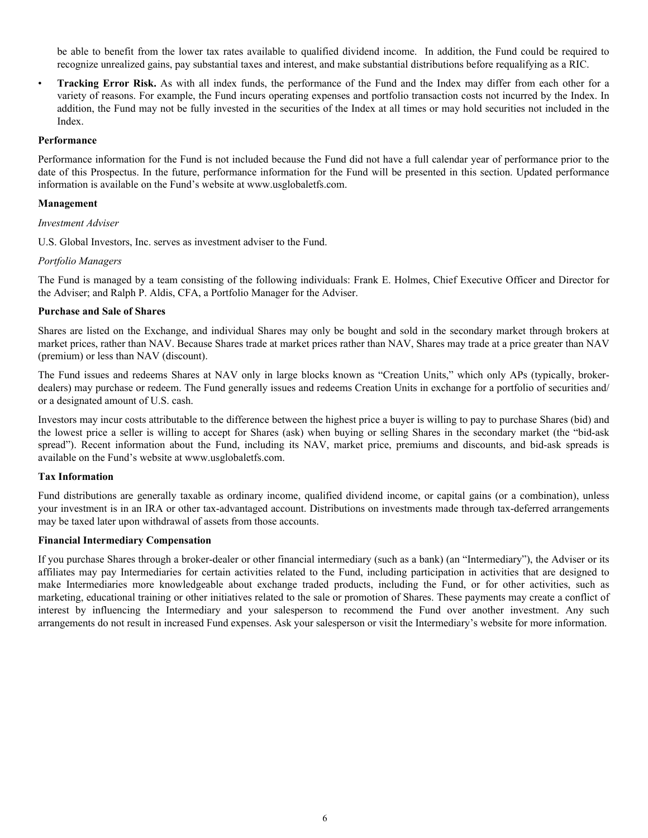<span id="page-7-0"></span>be able to benefit from the lower tax rates available to qualified dividend income. In addition, the Fund could be required to recognize unrealized gains, pay substantial taxes and interest, and make substantial distributions before requalifying as a RIC.

**Tracking Error Risk.** As with all index funds, the performance of the Fund and the Index may differ from each other for a variety of reasons. For example, the Fund incurs operating expenses and portfolio transaction costs not incurred by the Index. In addition, the Fund may not be fully invested in the securities of the Index at all times or may hold securities not included in the Index.

#### **Performance**

Performance information for the Fund is not included because the Fund did not have a full calendar year of performance prior to the date of this Prospectus. In the future, performance information for the Fund will be presented in this section. Updated performance information is available on the Fund's website at www.usglobaletfs.com.

#### **Management**

#### *Investment Adviser*

U.S. Global Investors, Inc. serves as investment adviser to the Fund.

#### *Portfolio Managers*

The Fund is managed by a team consisting of the following individuals: Frank E. Holmes, Chief Executive Officer and Director for the Adviser; and Ralph P. Aldis, CFA, a Portfolio Manager for the Adviser.

#### **Purchase and Sale of Shares**

Shares are listed on the Exchange, and individual Shares may only be bought and sold in the secondary market through brokers at market prices, rather than NAV. Because Shares trade at market prices rather than NAV, Shares may trade at a price greater than NAV (premium) or less than NAV (discount).

The Fund issues and redeems Shares at NAV only in large blocks known as "Creation Units," which only APs (typically, brokerdealers) may purchase or redeem. The Fund generally issues and redeems Creation Units in exchange for a portfolio of securities and/ or a designated amount of U.S. cash.

Investors may incur costs attributable to the difference between the highest price a buyer is willing to pay to purchase Shares (bid) and the lowest price a seller is willing to accept for Shares (ask) when buying or selling Shares in the secondary market (the "bid-ask spread"). Recent information about the Fund, including its NAV, market price, premiums and discounts, and bid-ask spreads is available on the Fund's website at www.usglobaletfs.com.

#### **Tax Information**

Fund distributions are generally taxable as ordinary income, qualified dividend income, or capital gains (or a combination), unless your investment is in an IRA or other tax-advantaged account. Distributions on investments made through tax-deferred arrangements may be taxed later upon withdrawal of assets from those accounts.

#### **Financial Intermediary Compensation**

If you purchase Shares through a broker-dealer or other financial intermediary (such as a bank) (an "Intermediary"), the Adviser or its affiliates may pay Intermediaries for certain activities related to the Fund, including participation in activities that are designed to make Intermediaries more knowledgeable about exchange traded products, including the Fund, or for other activities, such as marketing, educational training or other initiatives related to the sale or promotion of Shares. These payments may create a conflict of interest by influencing the Intermediary and your salesperson to recommend the Fund over another investment. Any such arrangements do not result in increased Fund expenses. Ask your salesperson or visit the Intermediary's website for more information.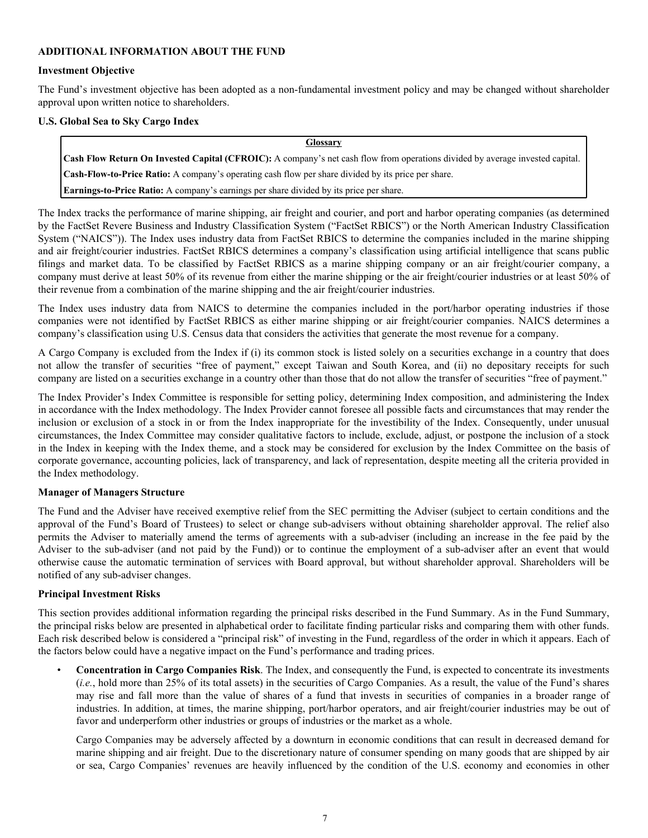#### <span id="page-8-0"></span>**ADDITIONAL INFORMATION ABOUT THE FUND**

#### **Investment Objective**

The Fund's investment objective has been adopted as a non-fundamental investment policy and may be changed without shareholder approval upon written notice to shareholders.

#### **U.S. Global Sea to Sky Cargo Index**

#### **Glossary**

**Cash Flow Return On Invested Capital (CFROIC):** A company's net cash flow from operations divided by average invested capital.

**Cash-Flow-to-Price Ratio:** A company's operating cash flow per share divided by its price per share.

**Earnings-to-Price Ratio:** A company's earnings per share divided by its price per share.

The Index tracks the performance of marine shipping, air freight and courier, and port and harbor operating companies (as determined by the FactSet Revere Business and Industry Classification System ("FactSet RBICS") or the North American Industry Classification System ("NAICS")). The Index uses industry data from FactSet RBICS to determine the companies included in the marine shipping and air freight/courier industries. FactSet RBICS determines a company's classification using artificial intelligence that scans public filings and market data. To be classified by FactSet RBICS as a marine shipping company or an air freight/courier company, a company must derive at least 50% of its revenue from either the marine shipping or the air freight/courier industries or at least 50% of their revenue from a combination of the marine shipping and the air freight/courier industries.

The Index uses industry data from NAICS to determine the companies included in the port/harbor operating industries if those companies were not identified by FactSet RBICS as either marine shipping or air freight/courier companies. NAICS determines a company's classification using U.S. Census data that considers the activities that generate the most revenue for a company.

A Cargo Company is excluded from the Index if (i) its common stock is listed solely on a securities exchange in a country that does not allow the transfer of securities "free of payment," except Taiwan and South Korea, and (ii) no depositary receipts for such company are listed on a securities exchange in a country other than those that do not allow the transfer of securities "free of payment."

The Index Provider's Index Committee is responsible for setting policy, determining Index composition, and administering the Index in accordance with the Index methodology. The Index Provider cannot foresee all possible facts and circumstances that may render the inclusion or exclusion of a stock in or from the Index inappropriate for the investibility of the Index. Consequently, under unusual circumstances, the Index Committee may consider qualitative factors to include, exclude, adjust, or postpone the inclusion of a stock in the Index in keeping with the Index theme, and a stock may be considered for exclusion by the Index Committee on the basis of corporate governance, accounting policies, lack of transparency, and lack of representation, despite meeting all the criteria provided in the Index methodology.

#### **Manager of Managers Structure**

The Fund and the Adviser have received exemptive relief from the SEC permitting the Adviser (subject to certain conditions and the approval of the Fund's Board of Trustees) to select or change sub-advisers without obtaining shareholder approval. The relief also permits the Adviser to materially amend the terms of agreements with a sub-adviser (including an increase in the fee paid by the Adviser to the sub-adviser (and not paid by the Fund)) or to continue the employment of a sub-adviser after an event that would otherwise cause the automatic termination of services with Board approval, but without shareholder approval. Shareholders will be notified of any sub-adviser changes.

#### **Principal Investment Risks**

This section provides additional information regarding the principal risks described in the Fund Summary. As in the Fund Summary, the principal risks below are presented in alphabetical order to facilitate finding particular risks and comparing them with other funds. Each risk described below is considered a "principal risk" of investing in the Fund, regardless of the order in which it appears. Each of the factors below could have a negative impact on the Fund's performance and trading prices.

• **Concentration in Cargo Companies Risk**. The Index, and consequently the Fund, is expected to concentrate its investments (*i.e.*, hold more than 25% of its total assets) in the securities of Cargo Companies. As a result, the value of the Fund's shares may rise and fall more than the value of shares of a fund that invests in securities of companies in a broader range of industries. In addition, at times, the marine shipping, port/harbor operators, and air freight/courier industries may be out of favor and underperform other industries or groups of industries or the market as a whole.

Cargo Companies may be adversely affected by a downturn in economic conditions that can result in decreased demand for marine shipping and air freight. Due to the discretionary nature of consumer spending on many goods that are shipped by air or sea, Cargo Companies' revenues are heavily influenced by the condition of the U.S. economy and economies in other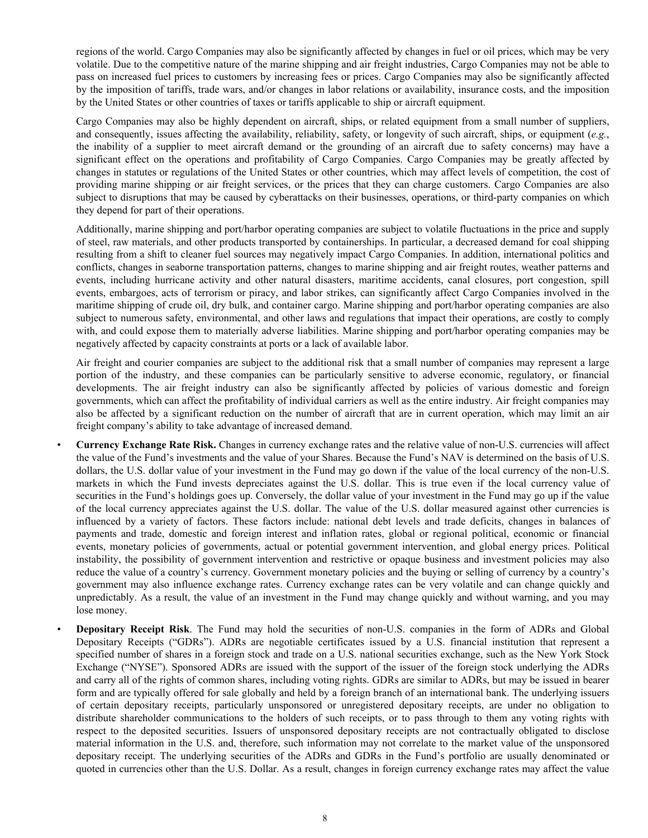regions of the world. Cargo Companies may also be significantly affected by changes in fuel or oil prices, which may be very volatile. Due to the competitive nature of the marine shipping and air freight industries, Cargo Companies may not be able to pass on increased fuel prices to customers by increasing fees or prices. Cargo Companies may also be significantly affected by the imposition of tariffs, trade wars, and/or changes in labor relations or availability, insurance costs, and the imposition by the United States or other countries of taxes or tariffs applicable to ship or aircraft equipment.

Cargo Companies may also be highly dependent on aircraft, ships, or related equipment from a small number of suppliers, and consequently, issues affecting the availability, reliability, safety, or longevity of such aircraft, ships, or equipment (*e.g.*, the inability of a supplier to meet aircraft demand or the grounding of an aircraft due to safety concerns) may have a significant effect on the operations and profitability of Cargo Companies. Cargo Companies may be greatly affected by changes in statutes or regulations of the United States or other countries, which may affect levels of competition, the cost of providing marine shipping or air freight services, or the prices that they can charge customers. Cargo Companies are also subject to disruptions that may be caused by cyberattacks on their businesses, operations, or third-party companies on which they depend for part of their operations.

Additionally, marine shipping and port/harbor operating companies are subject to volatile fluctuations in the price and supply of steel, raw materials, and other products transported by containerships. In particular, a decreased demand for coal shipping resulting from a shift to cleaner fuel sources may negatively impact Cargo Companies. In addition, international politics and conflicts, changes in seaborne transportation patterns, changes to marine shipping and air freight routes, weather patterns and events, including hurricane activity and other natural disasters, maritime accidents, canal closures, port congestion, spill events, embargoes, acts of terrorism or piracy, and labor strikes, can significantly affect Cargo Companies involved in the maritime shipping of crude oil, dry bulk, and container cargo. Marine shipping and port/harbor operating companies are also subject to numerous safety, environmental, and other laws and regulations that impact their operations, are costly to comply with, and could expose them to materially adverse liabilities. Marine shipping and port/harbor operating companies may be negatively affected by capacity constraints at ports or a lack of available labor.

Air freight and courier companies are subject to the additional risk that a small number of companies may represent a large portion of the industry, and these companies can be particularly sensitive to adverse economic, regulatory, or financial developments. The air freight industry can also be significantly affected by policies of various domestic and foreign governments, which can affect the profitability of individual carriers as well as the entire industry. Air freight companies may also be affected by a significant reduction on the number of aircraft that are in current operation, which may limit an air freight company's ability to take advantage of increased demand.

- **Currency Exchange Rate Risk.** Changes in currency exchange rates and the relative value of non-U.S. currencies will affect the value of the Fund's investments and the value of your Shares. Because the Fund's NAV is determined on the basis of U.S. dollars, the U.S. dollar value of your investment in the Fund may go down if the value of the local currency of the non-U.S. markets in which the Fund invests depreciates against the U.S. dollar. This is true even if the local currency value of securities in the Fund's holdings goes up. Conversely, the dollar value of your investment in the Fund may go up if the value of the local currency appreciates against the U.S. dollar. The value of the U.S. dollar measured against other currencies is influenced by a variety of factors. These factors include: national debt levels and trade deficits, changes in balances of payments and trade, domestic and foreign interest and inflation rates, global or regional political, economic or financial events, monetary policies of governments, actual or potential government intervention, and global energy prices. Political instability, the possibility of government intervention and restrictive or opaque business and investment policies may also reduce the value of a country's currency. Government monetary policies and the buying or selling of currency by a country's government may also influence exchange rates. Currency exchange rates can be very volatile and can change quickly and unpredictably. As a result, the value of an investment in the Fund may change quickly and without warning, and you may lose money.
- **Depositary Receipt Risk**. The Fund may hold the securities of non-U.S. companies in the form of ADRs and Global Depositary Receipts ("GDRs"). ADRs are negotiable certificates issued by a U.S. financial institution that represent a specified number of shares in a foreign stock and trade on a U.S. national securities exchange, such as the New York Stock Exchange ("NYSE"). Sponsored ADRs are issued with the support of the issuer of the foreign stock underlying the ADRs and carry all of the rights of common shares, including voting rights. GDRs are similar to ADRs, but may be issued in bearer form and are typically offered for sale globally and held by a foreign branch of an international bank. The underlying issuers of certain depositary receipts, particularly unsponsored or unregistered depositary receipts, are under no obligation to distribute shareholder communications to the holders of such receipts, or to pass through to them any voting rights with respect to the deposited securities. Issuers of unsponsored depositary receipts are not contractually obligated to disclose material information in the U.S. and, therefore, such information may not correlate to the market value of the unsponsored depositary receipt. The underlying securities of the ADRs and GDRs in the Fund's portfolio are usually denominated or quoted in currencies other than the U.S. Dollar. As a result, changes in foreign currency exchange rates may affect the value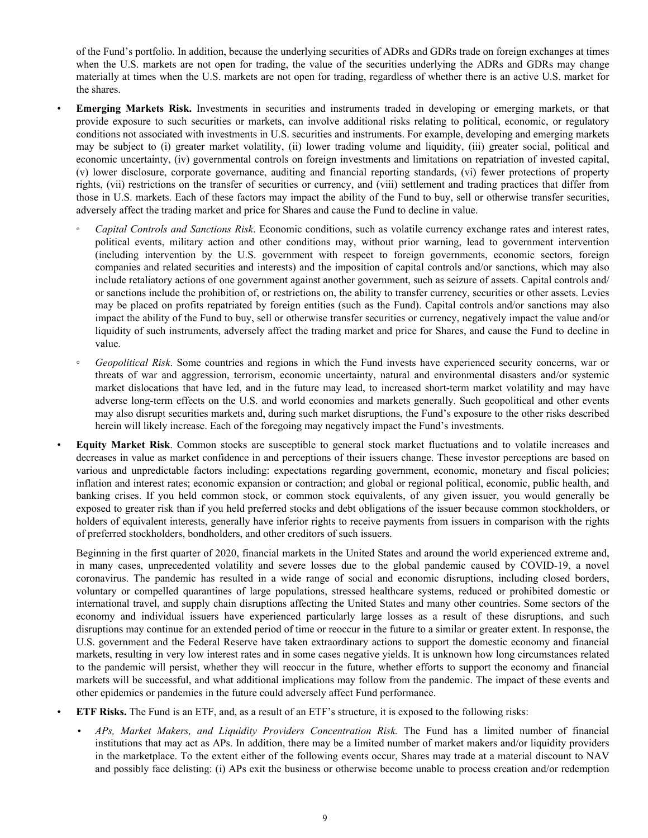of the Fund's portfolio. In addition, because the underlying securities of ADRs and GDRs trade on foreign exchanges at times when the U.S. markets are not open for trading, the value of the securities underlying the ADRs and GDRs may change materially at times when the U.S. markets are not open for trading, regardless of whether there is an active U.S. market for the shares.

- **Emerging Markets Risk.** Investments in securities and instruments traded in developing or emerging markets, or that provide exposure to such securities or markets, can involve additional risks relating to political, economic, or regulatory conditions not associated with investments in U.S. securities and instruments. For example, developing and emerging markets may be subject to (i) greater market volatility, (ii) lower trading volume and liquidity, (iii) greater social, political and economic uncertainty, (iv) governmental controls on foreign investments and limitations on repatriation of invested capital, (v) lower disclosure, corporate governance, auditing and financial reporting standards, (vi) fewer protections of property rights, (vii) restrictions on the transfer of securities or currency, and (viii) settlement and trading practices that differ from those in U.S. markets. Each of these factors may impact the ability of the Fund to buy, sell or otherwise transfer securities, adversely affect the trading market and price for Shares and cause the Fund to decline in value.
	- *◦ Capital Controls and Sanctions Risk*. Economic conditions, such as volatile currency exchange rates and interest rates, political events, military action and other conditions may, without prior warning, lead to government intervention (including intervention by the U.S. government with respect to foreign governments, economic sectors, foreign companies and related securities and interests) and the imposition of capital controls and/or sanctions, which may also include retaliatory actions of one government against another government, such as seizure of assets. Capital controls and/ or sanctions include the prohibition of, or restrictions on, the ability to transfer currency, securities or other assets. Levies may be placed on profits repatriated by foreign entities (such as the Fund). Capital controls and/or sanctions may also impact the ability of the Fund to buy, sell or otherwise transfer securities or currency, negatively impact the value and/or liquidity of such instruments, adversely affect the trading market and price for Shares, and cause the Fund to decline in value.
	- *Geopolitical Risk*. Some countries and regions in which the Fund invests have experienced security concerns, war or threats of war and aggression, terrorism, economic uncertainty, natural and environmental disasters and/or systemic market dislocations that have led, and in the future may lead, to increased short-term market volatility and may have adverse long-term effects on the U.S. and world economies and markets generally. Such geopolitical and other events may also disrupt securities markets and, during such market disruptions, the Fund's exposure to the other risks described herein will likely increase. Each of the foregoing may negatively impact the Fund's investments.
- **Equity Market Risk**. Common stocks are susceptible to general stock market fluctuations and to volatile increases and decreases in value as market confidence in and perceptions of their issuers change. These investor perceptions are based on various and unpredictable factors including: expectations regarding government, economic, monetary and fiscal policies; inflation and interest rates; economic expansion or contraction; and global or regional political, economic, public health, and banking crises. If you held common stock, or common stock equivalents, of any given issuer, you would generally be exposed to greater risk than if you held preferred stocks and debt obligations of the issuer because common stockholders, or holders of equivalent interests, generally have inferior rights to receive payments from issuers in comparison with the rights of preferred stockholders, bondholders, and other creditors of such issuers.

Beginning in the first quarter of 2020, financial markets in the United States and around the world experienced extreme and, in many cases, unprecedented volatility and severe losses due to the global pandemic caused by COVID-19, a novel coronavirus. The pandemic has resulted in a wide range of social and economic disruptions, including closed borders, voluntary or compelled quarantines of large populations, stressed healthcare systems, reduced or prohibited domestic or international travel, and supply chain disruptions affecting the United States and many other countries. Some sectors of the economy and individual issuers have experienced particularly large losses as a result of these disruptions, and such disruptions may continue for an extended period of time or reoccur in the future to a similar or greater extent. In response, the U.S. government and the Federal Reserve have taken extraordinary actions to support the domestic economy and financial markets, resulting in very low interest rates and in some cases negative yields. It is unknown how long circumstances related to the pandemic will persist, whether they will reoccur in the future, whether efforts to support the economy and financial markets will be successful, and what additional implications may follow from the pandemic. The impact of these events and other epidemics or pandemics in the future could adversely affect Fund performance.

- **ETF Risks.** The Fund is an ETF, and, as a result of an ETF's structure, it is exposed to the following risks:
	- *APs, Market Makers, and Liquidity Providers Concentration Risk.* The Fund has a limited number of financial institutions that may act as APs. In addition, there may be a limited number of market makers and/or liquidity providers in the marketplace. To the extent either of the following events occur, Shares may trade at a material discount to NAV and possibly face delisting: (i) APs exit the business or otherwise become unable to process creation and/or redemption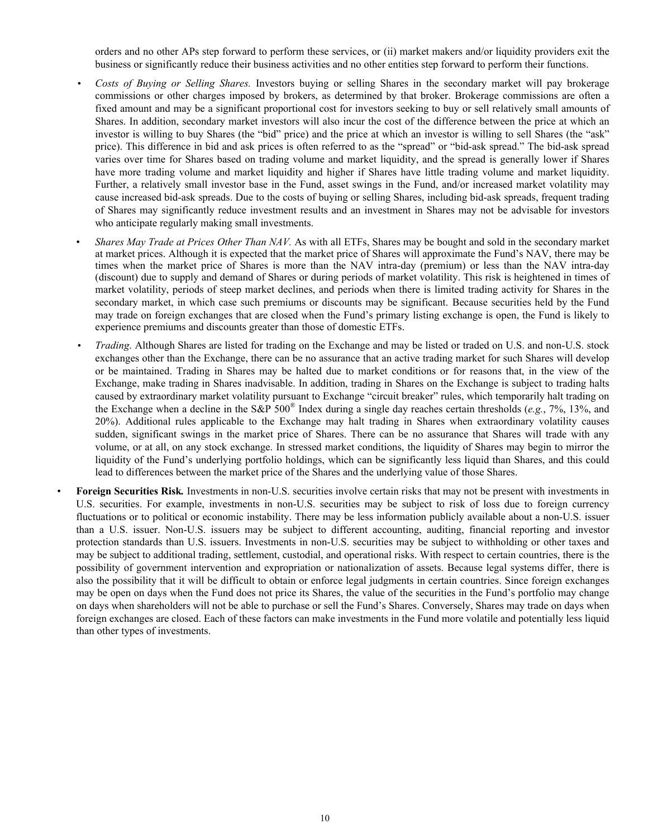orders and no other APs step forward to perform these services, or (ii) market makers and/or liquidity providers exit the business or significantly reduce their business activities and no other entities step forward to perform their functions.

- *Costs of Buying or Selling Shares.* Investors buying or selling Shares in the secondary market will pay brokerage commissions or other charges imposed by brokers, as determined by that broker. Brokerage commissions are often a fixed amount and may be a significant proportional cost for investors seeking to buy or sell relatively small amounts of Shares. In addition, secondary market investors will also incur the cost of the difference between the price at which an investor is willing to buy Shares (the "bid" price) and the price at which an investor is willing to sell Shares (the "ask" price). This difference in bid and ask prices is often referred to as the "spread" or "bid-ask spread." The bid-ask spread varies over time for Shares based on trading volume and market liquidity, and the spread is generally lower if Shares have more trading volume and market liquidity and higher if Shares have little trading volume and market liquidity. Further, a relatively small investor base in the Fund, asset swings in the Fund, and/or increased market volatility may cause increased bid-ask spreads. Due to the costs of buying or selling Shares, including bid-ask spreads, frequent trading of Shares may significantly reduce investment results and an investment in Shares may not be advisable for investors who anticipate regularly making small investments.
- *Shares May Trade at Prices Other Than NAV.* As with all ETFs, Shares may be bought and sold in the secondary market at market prices. Although it is expected that the market price of Shares will approximate the Fund's NAV, there may be times when the market price of Shares is more than the NAV intra-day (premium) or less than the NAV intra-day (discount) due to supply and demand of Shares or during periods of market volatility. This risk is heightened in times of market volatility, periods of steep market declines, and periods when there is limited trading activity for Shares in the secondary market, in which case such premiums or discounts may be significant. Because securities held by the Fund may trade on foreign exchanges that are closed when the Fund's primary listing exchange is open, the Fund is likely to experience premiums and discounts greater than those of domestic ETFs.
- *Trading*. Although Shares are listed for trading on the Exchange and may be listed or traded on U.S. and non-U.S. stock exchanges other than the Exchange, there can be no assurance that an active trading market for such Shares will develop or be maintained. Trading in Shares may be halted due to market conditions or for reasons that, in the view of the Exchange, make trading in Shares inadvisable. In addition, trading in Shares on the Exchange is subject to trading halts caused by extraordinary market volatility pursuant to Exchange "circuit breaker" rules, which temporarily halt trading on the Exchange when a decline in the S&P 500® Index during a single day reaches certain thresholds (*e.g.*, 7%, 13%, and 20%). Additional rules applicable to the Exchange may halt trading in Shares when extraordinary volatility causes sudden, significant swings in the market price of Shares. There can be no assurance that Shares will trade with any volume, or at all, on any stock exchange. In stressed market conditions, the liquidity of Shares may begin to mirror the liquidity of the Fund's underlying portfolio holdings, which can be significantly less liquid than Shares, and this could lead to differences between the market price of the Shares and the underlying value of those Shares.
- **Foreign Securities Risk***.* Investments in non-U.S. securities involve certain risks that may not be present with investments in U.S. securities. For example, investments in non-U.S. securities may be subject to risk of loss due to foreign currency fluctuations or to political or economic instability. There may be less information publicly available about a non-U.S. issuer than a U.S. issuer. Non-U.S. issuers may be subject to different accounting, auditing, financial reporting and investor protection standards than U.S. issuers. Investments in non-U.S. securities may be subject to withholding or other taxes and may be subject to additional trading, settlement, custodial, and operational risks. With respect to certain countries, there is the possibility of government intervention and expropriation or nationalization of assets. Because legal systems differ, there is also the possibility that it will be difficult to obtain or enforce legal judgments in certain countries. Since foreign exchanges may be open on days when the Fund does not price its Shares, the value of the securities in the Fund's portfolio may change on days when shareholders will not be able to purchase or sell the Fund's Shares. Conversely, Shares may trade on days when foreign exchanges are closed. Each of these factors can make investments in the Fund more volatile and potentially less liquid than other types of investments.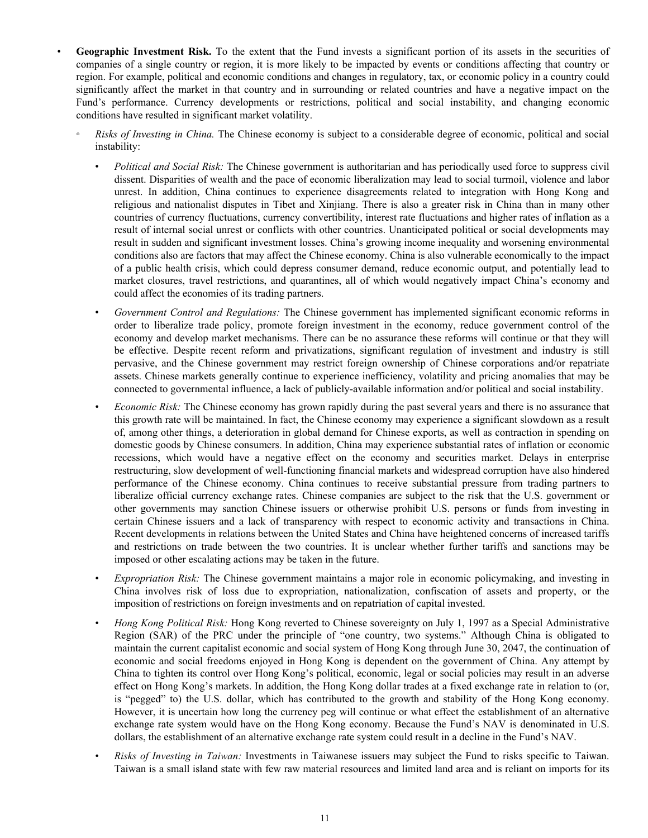- **Geographic Investment Risk.** To the extent that the Fund invests a significant portion of its assets in the securities of companies of a single country or region, it is more likely to be impacted by events or conditions affecting that country or region. For example, political and economic conditions and changes in regulatory, tax, or economic policy in a country could significantly affect the market in that country and in surrounding or related countries and have a negative impact on the Fund's performance. Currency developments or restrictions, political and social instability, and changing economic conditions have resulted in significant market volatility.
	- *Risks of Investing in China.* The Chinese economy is subject to a considerable degree of economic, political and social instability:
		- ∙ *Political and Social Risk:* The Chinese government is authoritarian and has periodically used force to suppress civil dissent. Disparities of wealth and the pace of economic liberalization may lead to social turmoil, violence and labor unrest. In addition, China continues to experience disagreements related to integration with Hong Kong and religious and nationalist disputes in Tibet and Xinjiang. There is also a greater risk in China than in many other countries of currency fluctuations, currency convertibility, interest rate fluctuations and higher rates of inflation as a result of internal social unrest or conflicts with other countries. Unanticipated political or social developments may result in sudden and significant investment losses. China's growing income inequality and worsening environmental conditions also are factors that may affect the Chinese economy. China is also vulnerable economically to the impact of a public health crisis, which could depress consumer demand, reduce economic output, and potentially lead to market closures, travel restrictions, and quarantines, all of which would negatively impact China's economy and could affect the economies of its trading partners.
		- ∙ *Government Control and Regulations:* The Chinese government has implemented significant economic reforms in order to liberalize trade policy, promote foreign investment in the economy, reduce government control of the economy and develop market mechanisms. There can be no assurance these reforms will continue or that they will be effective. Despite recent reform and privatizations, significant regulation of investment and industry is still pervasive, and the Chinese government may restrict foreign ownership of Chinese corporations and/or repatriate assets. Chinese markets generally continue to experience inefficiency, volatility and pricing anomalies that may be connected to governmental influence, a lack of publicly-available information and/or political and social instability.
		- *Economic Risk:* The Chinese economy has grown rapidly during the past several years and there is no assurance that this growth rate will be maintained. In fact, the Chinese economy may experience a significant slowdown as a result of, among other things, a deterioration in global demand for Chinese exports, as well as contraction in spending on domestic goods by Chinese consumers. In addition, China may experience substantial rates of inflation or economic recessions, which would have a negative effect on the economy and securities market. Delays in enterprise restructuring, slow development of well-functioning financial markets and widespread corruption have also hindered performance of the Chinese economy. China continues to receive substantial pressure from trading partners to liberalize official currency exchange rates. Chinese companies are subject to the risk that the U.S. government or other governments may sanction Chinese issuers or otherwise prohibit U.S. persons or funds from investing in certain Chinese issuers and a lack of transparency with respect to economic activity and transactions in China. Recent developments in relations between the United States and China have heightened concerns of increased tariffs and restrictions on trade between the two countries. It is unclear whether further tariffs and sanctions may be imposed or other escalating actions may be taken in the future.
		- *Expropriation Risk:* The Chinese government maintains a major role in economic policymaking, and investing in China involves risk of loss due to expropriation, nationalization, confiscation of assets and property, or the imposition of restrictions on foreign investments and on repatriation of capital invested.
		- *Hong Kong Political Risk:* Hong Kong reverted to Chinese sovereignty on July 1, 1997 as a Special Administrative Region (SAR) of the PRC under the principle of "one country, two systems." Although China is obligated to maintain the current capitalist economic and social system of Hong Kong through June 30, 2047, the continuation of economic and social freedoms enjoyed in Hong Kong is dependent on the government of China. Any attempt by China to tighten its control over Hong Kong's political, economic, legal or social policies may result in an adverse effect on Hong Kong's markets. In addition, the Hong Kong dollar trades at a fixed exchange rate in relation to (or, is "pegged" to) the U.S. dollar, which has contributed to the growth and stability of the Hong Kong economy. However, it is uncertain how long the currency peg will continue or what effect the establishment of an alternative exchange rate system would have on the Hong Kong economy. Because the Fund's NAV is denominated in U.S. dollars, the establishment of an alternative exchange rate system could result in a decline in the Fund's NAV.
		- *Risks of Investing in Taiwan:* Investments in Taiwanese issuers may subject the Fund to risks specific to Taiwan. Taiwan is a small island state with few raw material resources and limited land area and is reliant on imports for its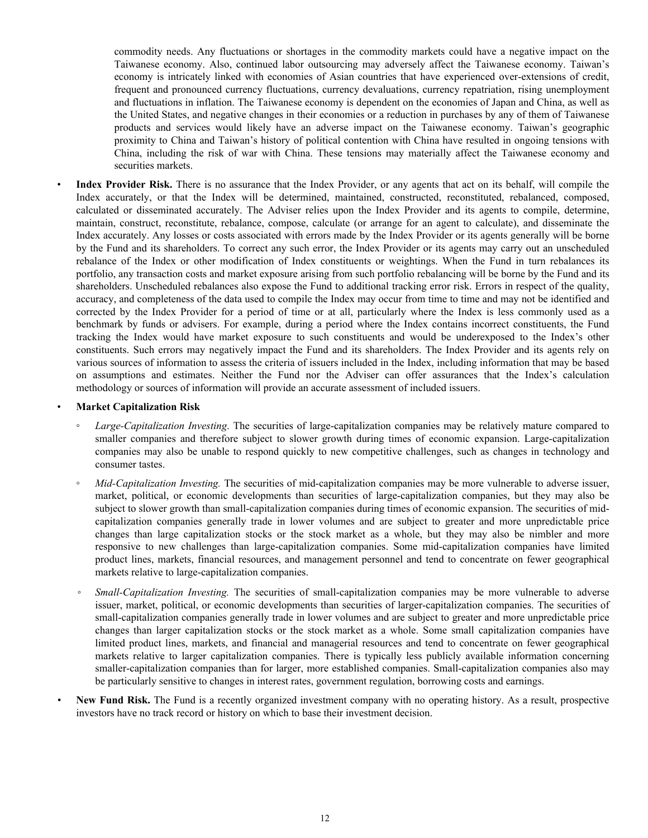commodity needs. Any fluctuations or shortages in the commodity markets could have a negative impact on the Taiwanese economy. Also, continued labor outsourcing may adversely affect the Taiwanese economy. Taiwan's economy is intricately linked with economies of Asian countries that have experienced over-extensions of credit, frequent and pronounced currency fluctuations, currency devaluations, currency repatriation, rising unemployment and fluctuations in inflation. The Taiwanese economy is dependent on the economies of Japan and China, as well as the United States, and negative changes in their economies or a reduction in purchases by any of them of Taiwanese products and services would likely have an adverse impact on the Taiwanese economy. Taiwan's geographic proximity to China and Taiwan's history of political contention with China have resulted in ongoing tensions with China, including the risk of war with China. These tensions may materially affect the Taiwanese economy and securities markets.

• **Index Provider Risk.** There is no assurance that the Index Provider, or any agents that act on its behalf, will compile the Index accurately, or that the Index will be determined, maintained, constructed, reconstituted, rebalanced, composed, calculated or disseminated accurately. The Adviser relies upon the Index Provider and its agents to compile, determine, maintain, construct, reconstitute, rebalance, compose, calculate (or arrange for an agent to calculate), and disseminate the Index accurately. Any losses or costs associated with errors made by the Index Provider or its agents generally will be borne by the Fund and its shareholders. To correct any such error, the Index Provider or its agents may carry out an unscheduled rebalance of the Index or other modification of Index constituents or weightings. When the Fund in turn rebalances its portfolio, any transaction costs and market exposure arising from such portfolio rebalancing will be borne by the Fund and its shareholders. Unscheduled rebalances also expose the Fund to additional tracking error risk. Errors in respect of the quality, accuracy, and completeness of the data used to compile the Index may occur from time to time and may not be identified and corrected by the Index Provider for a period of time or at all, particularly where the Index is less commonly used as a benchmark by funds or advisers. For example, during a period where the Index contains incorrect constituents, the Fund tracking the Index would have market exposure to such constituents and would be underexposed to the Index's other constituents. Such errors may negatively impact the Fund and its shareholders. The Index Provider and its agents rely on various sources of information to assess the criteria of issuers included in the Index, including information that may be based on assumptions and estimates. Neither the Fund nor the Adviser can offer assurances that the Index's calculation methodology or sources of information will provide an accurate assessment of included issuers.

#### • **Market Capitalization Risk**

- *Large-Capitalization Investing*. The securities of large-capitalization companies may be relatively mature compared to smaller companies and therefore subject to slower growth during times of economic expansion. Large-capitalization companies may also be unable to respond quickly to new competitive challenges, such as changes in technology and consumer tastes.
- *Mid-Capitalization Investing.* The securities of mid-capitalization companies may be more vulnerable to adverse issuer, market, political, or economic developments than securities of large-capitalization companies, but they may also be subject to slower growth than small-capitalization companies during times of economic expansion. The securities of midcapitalization companies generally trade in lower volumes and are subject to greater and more unpredictable price changes than large capitalization stocks or the stock market as a whole, but they may also be nimbler and more responsive to new challenges than large-capitalization companies. Some mid-capitalization companies have limited product lines, markets, financial resources, and management personnel and tend to concentrate on fewer geographical markets relative to large-capitalization companies.
- *Small-Capitalization Investing.* The securities of small-capitalization companies may be more vulnerable to adverse issuer, market, political, or economic developments than securities of larger-capitalization companies. The securities of small-capitalization companies generally trade in lower volumes and are subject to greater and more unpredictable price changes than larger capitalization stocks or the stock market as a whole. Some small capitalization companies have limited product lines, markets, and financial and managerial resources and tend to concentrate on fewer geographical markets relative to larger capitalization companies. There is typically less publicly available information concerning smaller-capitalization companies than for larger, more established companies. Small-capitalization companies also may be particularly sensitive to changes in interest rates, government regulation, borrowing costs and earnings.
- **New Fund Risk.** The Fund is a recently organized investment company with no operating history. As a result, prospective investors have no track record or history on which to base their investment decision.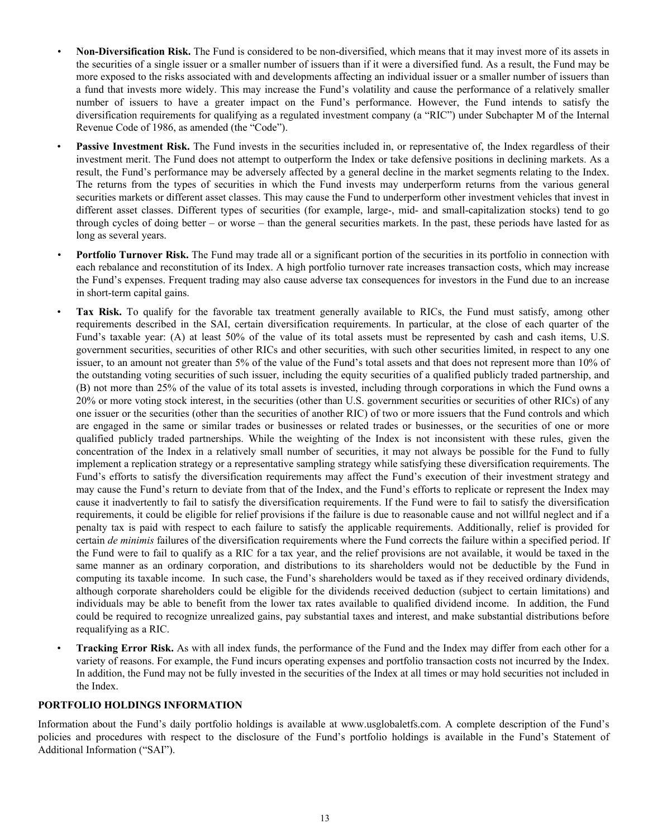- <span id="page-14-0"></span>*•* **Non-Diversification Risk.** The Fund is considered to be non-diversified, which means that it may invest more of its assets in the securities of a single issuer or a smaller number of issuers than if it were a diversified fund. As a result, the Fund may be more exposed to the risks associated with and developments affecting an individual issuer or a smaller number of issuers than a fund that invests more widely. This may increase the Fund's volatility and cause the performance of a relatively smaller number of issuers to have a greater impact on the Fund's performance. However, the Fund intends to satisfy the diversification requirements for qualifying as a regulated investment company (a "RIC") under Subchapter M of the Internal Revenue Code of 1986, as amended (the "Code").
- **Passive Investment Risk.** The Fund invests in the securities included in, or representative of, the Index regardless of their investment merit. The Fund does not attempt to outperform the Index or take defensive positions in declining markets. As a result, the Fund's performance may be adversely affected by a general decline in the market segments relating to the Index. The returns from the types of securities in which the Fund invests may underperform returns from the various general securities markets or different asset classes. This may cause the Fund to underperform other investment vehicles that invest in different asset classes. Different types of securities (for example, large-, mid- and small-capitalization stocks) tend to go through cycles of doing better – or worse – than the general securities markets. In the past, these periods have lasted for as long as several years.
- **Portfolio Turnover Risk.** The Fund may trade all or a significant portion of the securities in its portfolio in connection with each rebalance and reconstitution of its Index. A high portfolio turnover rate increases transaction costs, which may increase the Fund's expenses. Frequent trading may also cause adverse tax consequences for investors in the Fund due to an increase in short-term capital gains.
- **Tax Risk.** To qualify for the favorable tax treatment generally available to RICs, the Fund must satisfy, among other requirements described in the SAI, certain diversification requirements. In particular, at the close of each quarter of the Fund's taxable year: (A) at least 50% of the value of its total assets must be represented by cash and cash items, U.S. government securities, securities of other RICs and other securities, with such other securities limited, in respect to any one issuer, to an amount not greater than 5% of the value of the Fund's total assets and that does not represent more than 10% of the outstanding voting securities of such issuer, including the equity securities of a qualified publicly traded partnership, and (B) not more than 25% of the value of its total assets is invested, including through corporations in which the Fund owns a 20% or more voting stock interest, in the securities (other than U.S. government securities or securities of other RICs) of any one issuer or the securities (other than the securities of another RIC) of two or more issuers that the Fund controls and which are engaged in the same or similar trades or businesses or related trades or businesses, or the securities of one or more qualified publicly traded partnerships. While the weighting of the Index is not inconsistent with these rules, given the concentration of the Index in a relatively small number of securities, it may not always be possible for the Fund to fully implement a replication strategy or a representative sampling strategy while satisfying these diversification requirements. The Fund's efforts to satisfy the diversification requirements may affect the Fund's execution of their investment strategy and may cause the Fund's return to deviate from that of the Index, and the Fund's efforts to replicate or represent the Index may cause it inadvertently to fail to satisfy the diversification requirements. If the Fund were to fail to satisfy the diversification requirements, it could be eligible for relief provisions if the failure is due to reasonable cause and not willful neglect and if a penalty tax is paid with respect to each failure to satisfy the applicable requirements. Additionally, relief is provided for certain *de minimis* failures of the diversification requirements where the Fund corrects the failure within a specified period. If the Fund were to fail to qualify as a RIC for a tax year, and the relief provisions are not available, it would be taxed in the same manner as an ordinary corporation, and distributions to its shareholders would not be deductible by the Fund in computing its taxable income. In such case, the Fund's shareholders would be taxed as if they received ordinary dividends, although corporate shareholders could be eligible for the dividends received deduction (subject to certain limitations) and individuals may be able to benefit from the lower tax rates available to qualified dividend income. In addition, the Fund could be required to recognize unrealized gains, pay substantial taxes and interest, and make substantial distributions before requalifying as a RIC.
- **Tracking Error Risk.** As with all index funds, the performance of the Fund and the Index may differ from each other for a variety of reasons. For example, the Fund incurs operating expenses and portfolio transaction costs not incurred by the Index. In addition, the Fund may not be fully invested in the securities of the Index at all times or may hold securities not included in the Index.

#### **PORTFOLIO HOLDINGS INFORMATION**

Information about the Fund's daily portfolio holdings is available at www.usglobaletfs.com. A complete description of the Fund's policies and procedures with respect to the disclosure of the Fund's portfolio holdings is available in the Fund's Statement of Additional Information ("SAI").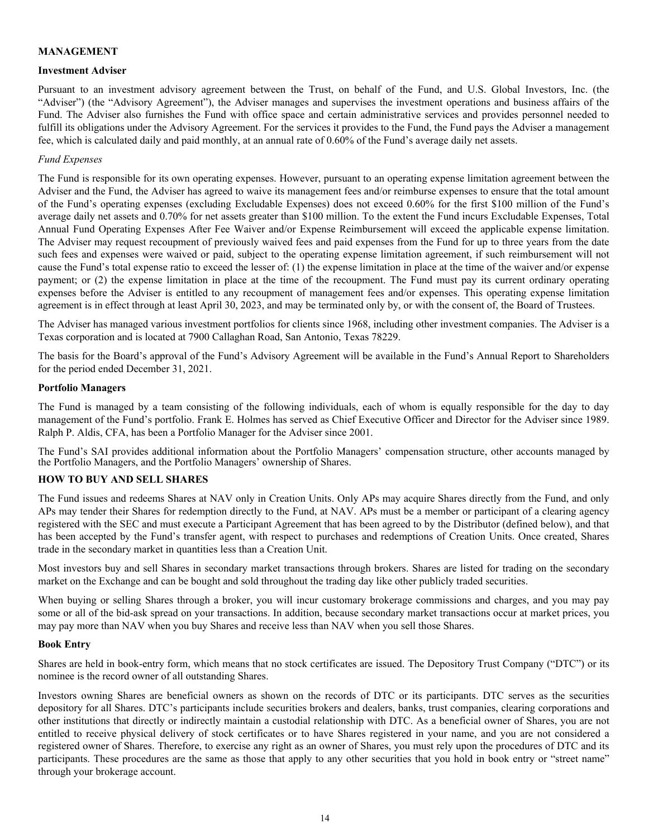#### <span id="page-15-0"></span>**MANAGEMENT**

#### **Investment Adviser**

Pursuant to an investment advisory agreement between the Trust, on behalf of the Fund, and U.S. Global Investors, Inc. (the "Adviser") (the "Advisory Agreement"), the Adviser manages and supervises the investment operations and business affairs of the Fund. The Adviser also furnishes the Fund with office space and certain administrative services and provides personnel needed to fulfill its obligations under the Advisory Agreement. For the services it provides to the Fund, the Fund pays the Adviser a management fee, which is calculated daily and paid monthly, at an annual rate of 0.60% of the Fund's average daily net assets.

#### *Fund Expenses*

The Fund is responsible for its own operating expenses. However, pursuant to an operating expense limitation agreement between the Adviser and the Fund, the Adviser has agreed to waive its management fees and/or reimburse expenses to ensure that the total amount of the Fund's operating expenses (excluding Excludable Expenses) does not exceed 0.60% for the first \$100 million of the Fund's average daily net assets and 0.70% for net assets greater than \$100 million. To the extent the Fund incurs Excludable Expenses, Total Annual Fund Operating Expenses After Fee Waiver and/or Expense Reimbursement will exceed the applicable expense limitation. The Adviser may request recoupment of previously waived fees and paid expenses from the Fund for up to three years from the date such fees and expenses were waived or paid, subject to the operating expense limitation agreement, if such reimbursement will not cause the Fund's total expense ratio to exceed the lesser of: (1) the expense limitation in place at the time of the waiver and/or expense payment; or (2) the expense limitation in place at the time of the recoupment. The Fund must pay its current ordinary operating expenses before the Adviser is entitled to any recoupment of management fees and/or expenses. This operating expense limitation agreement is in effect through at least April 30, 2023, and may be terminated only by, or with the consent of, the Board of Trustees.

The Adviser has managed various investment portfolios for clients since 1968, including other investment companies. The Adviser is a Texas corporation and is located at 7900 Callaghan Road, San Antonio, Texas 78229.

The basis for the Board's approval of the Fund's Advisory Agreement will be available in the Fund's Annual Report to Shareholders for the period ended December 31, 2021.

#### **Portfolio Managers**

The Fund is managed by a team consisting of the following individuals, each of whom is equally responsible for the day to day management of the Fund's portfolio. Frank E. Holmes has served as Chief Executive Officer and Director for the Adviser since 1989. Ralph P. Aldis, CFA, has been a Portfolio Manager for the Adviser since 2001.

The Fund's SAI provides additional information about the Portfolio Managers' compensation structure, other accounts managed by the Portfolio Managers, and the Portfolio Managers' ownership of Shares.

### **HOW TO BUY AND SELL SHARES**

The Fund issues and redeems Shares at NAV only in Creation Units. Only APs may acquire Shares directly from the Fund, and only APs may tender their Shares for redemption directly to the Fund, at NAV. APs must be a member or participant of a clearing agency registered with the SEC and must execute a Participant Agreement that has been agreed to by the Distributor (defined below), and that has been accepted by the Fund's transfer agent, with respect to purchases and redemptions of Creation Units. Once created, Shares trade in the secondary market in quantities less than a Creation Unit.

Most investors buy and sell Shares in secondary market transactions through brokers. Shares are listed for trading on the secondary market on the Exchange and can be bought and sold throughout the trading day like other publicly traded securities.

When buying or selling Shares through a broker, you will incur customary brokerage commissions and charges, and you may pay some or all of the bid-ask spread on your transactions. In addition, because secondary market transactions occur at market prices, you may pay more than NAV when you buy Shares and receive less than NAV when you sell those Shares.

#### **Book Entry**

Shares are held in book-entry form, which means that no stock certificates are issued. The Depository Trust Company ("DTC") or its nominee is the record owner of all outstanding Shares.

Investors owning Shares are beneficial owners as shown on the records of DTC or its participants. DTC serves as the securities depository for all Shares. DTC's participants include securities brokers and dealers, banks, trust companies, clearing corporations and other institutions that directly or indirectly maintain a custodial relationship with DTC. As a beneficial owner of Shares, you are not entitled to receive physical delivery of stock certificates or to have Shares registered in your name, and you are not considered a registered owner of Shares. Therefore, to exercise any right as an owner of Shares, you must rely upon the procedures of DTC and its participants. These procedures are the same as those that apply to any other securities that you hold in book entry or "street name" through your brokerage account.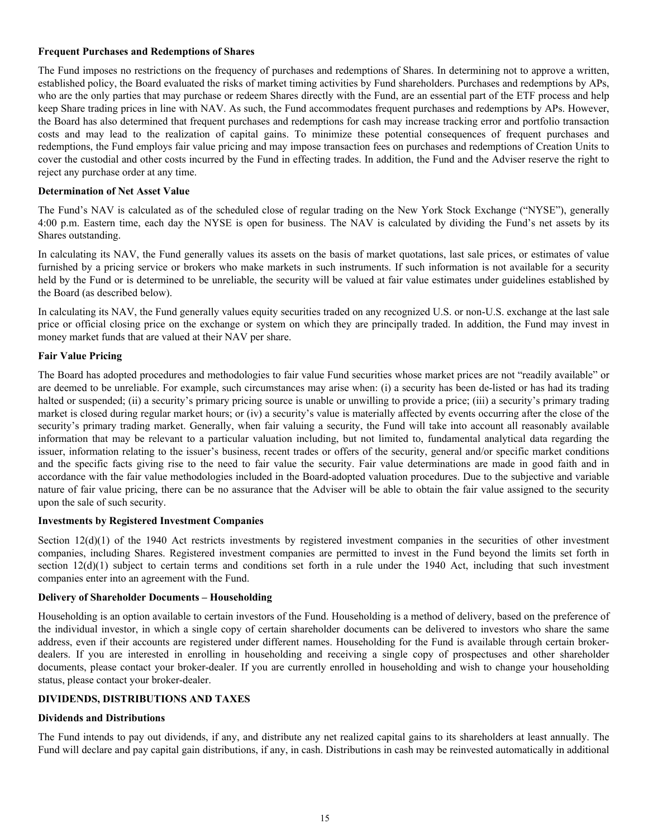#### <span id="page-16-0"></span>**Frequent Purchases and Redemptions of Shares**

The Fund imposes no restrictions on the frequency of purchases and redemptions of Shares. In determining not to approve a written, established policy, the Board evaluated the risks of market timing activities by Fund shareholders. Purchases and redemptions by APs, who are the only parties that may purchase or redeem Shares directly with the Fund, are an essential part of the ETF process and help keep Share trading prices in line with NAV. As such, the Fund accommodates frequent purchases and redemptions by APs. However, the Board has also determined that frequent purchases and redemptions for cash may increase tracking error and portfolio transaction costs and may lead to the realization of capital gains. To minimize these potential consequences of frequent purchases and redemptions, the Fund employs fair value pricing and may impose transaction fees on purchases and redemptions of Creation Units to cover the custodial and other costs incurred by the Fund in effecting trades. In addition, the Fund and the Adviser reserve the right to reject any purchase order at any time.

#### **Determination of Net Asset Value**

The Fund's NAV is calculated as of the scheduled close of regular trading on the New York Stock Exchange ("NYSE"), generally 4:00 p.m. Eastern time, each day the NYSE is open for business. The NAV is calculated by dividing the Fund's net assets by its Shares outstanding.

In calculating its NAV, the Fund generally values its assets on the basis of market quotations, last sale prices, or estimates of value furnished by a pricing service or brokers who make markets in such instruments. If such information is not available for a security held by the Fund or is determined to be unreliable, the security will be valued at fair value estimates under guidelines established by the Board (as described below).

In calculating its NAV, the Fund generally values equity securities traded on any recognized U.S. or non-U.S. exchange at the last sale price or official closing price on the exchange or system on which they are principally traded. In addition, the Fund may invest in money market funds that are valued at their NAV per share.

#### **Fair Value Pricing**

The Board has adopted procedures and methodologies to fair value Fund securities whose market prices are not "readily available" or are deemed to be unreliable. For example, such circumstances may arise when: (i) a security has been de-listed or has had its trading halted or suspended; (ii) a security's primary pricing source is unable or unwilling to provide a price; (iii) a security's primary trading market is closed during regular market hours; or (iv) a security's value is materially affected by events occurring after the close of the security's primary trading market. Generally, when fair valuing a security, the Fund will take into account all reasonably available information that may be relevant to a particular valuation including, but not limited to, fundamental analytical data regarding the issuer, information relating to the issuer's business, recent trades or offers of the security, general and/or specific market conditions and the specific facts giving rise to the need to fair value the security. Fair value determinations are made in good faith and in accordance with the fair value methodologies included in the Board-adopted valuation procedures. Due to the subjective and variable nature of fair value pricing, there can be no assurance that the Adviser will be able to obtain the fair value assigned to the security upon the sale of such security.

#### **Investments by Registered Investment Companies**

Section  $12(d)(1)$  of the 1940 Act restricts investments by registered investment companies in the securities of other investment companies, including Shares. Registered investment companies are permitted to invest in the Fund beyond the limits set forth in section  $12(d)(1)$  subject to certain terms and conditions set forth in a rule under the 1940 Act, including that such investment companies enter into an agreement with the Fund.

#### **Delivery of Shareholder Documents – Householding**

Householding is an option available to certain investors of the Fund. Householding is a method of delivery, based on the preference of the individual investor, in which a single copy of certain shareholder documents can be delivered to investors who share the same address, even if their accounts are registered under different names. Householding for the Fund is available through certain brokerdealers. If you are interested in enrolling in householding and receiving a single copy of prospectuses and other shareholder documents, please contact your broker-dealer. If you are currently enrolled in householding and wish to change your householding status, please contact your broker-dealer.

#### **DIVIDENDS, DISTRIBUTIONS AND TAXES**

#### **Dividends and Distributions**

The Fund intends to pay out dividends, if any, and distribute any net realized capital gains to its shareholders at least annually. The Fund will declare and pay capital gain distributions, if any, in cash. Distributions in cash may be reinvested automatically in additional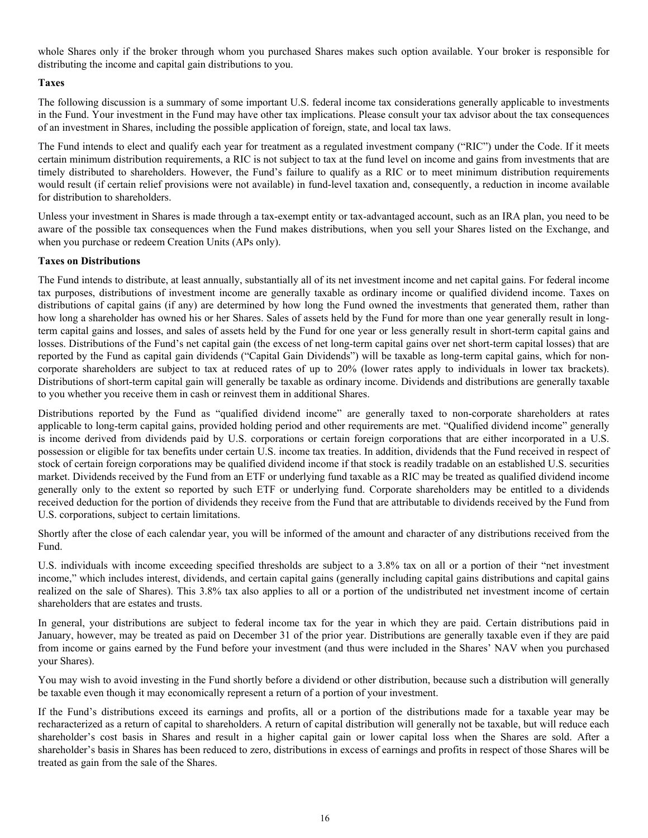<span id="page-17-0"></span>whole Shares only if the broker through whom you purchased Shares makes such option available. Your broker is responsible for distributing the income and capital gain distributions to you.

#### **Taxes**

The following discussion is a summary of some important U.S. federal income tax considerations generally applicable to investments in the Fund. Your investment in the Fund may have other tax implications. Please consult your tax advisor about the tax consequences of an investment in Shares, including the possible application of foreign, state, and local tax laws.

The Fund intends to elect and qualify each year for treatment as a regulated investment company ("RIC") under the Code. If it meets certain minimum distribution requirements, a RIC is not subject to tax at the fund level on income and gains from investments that are timely distributed to shareholders. However, the Fund's failure to qualify as a RIC or to meet minimum distribution requirements would result (if certain relief provisions were not available) in fund-level taxation and, consequently, a reduction in income available for distribution to shareholders.

Unless your investment in Shares is made through a tax-exempt entity or tax-advantaged account, such as an IRA plan, you need to be aware of the possible tax consequences when the Fund makes distributions, when you sell your Shares listed on the Exchange, and when you purchase or redeem Creation Units (APs only).

#### **Taxes on Distributions**

The Fund intends to distribute, at least annually, substantially all of its net investment income and net capital gains. For federal income tax purposes, distributions of investment income are generally taxable as ordinary income or qualified dividend income. Taxes on distributions of capital gains (if any) are determined by how long the Fund owned the investments that generated them, rather than how long a shareholder has owned his or her Shares. Sales of assets held by the Fund for more than one year generally result in longterm capital gains and losses, and sales of assets held by the Fund for one year or less generally result in short-term capital gains and losses. Distributions of the Fund's net capital gain (the excess of net long-term capital gains over net short-term capital losses) that are reported by the Fund as capital gain dividends ("Capital Gain Dividends") will be taxable as long-term capital gains, which for noncorporate shareholders are subject to tax at reduced rates of up to 20% (lower rates apply to individuals in lower tax brackets). Distributions of short-term capital gain will generally be taxable as ordinary income. Dividends and distributions are generally taxable to you whether you receive them in cash or reinvest them in additional Shares.

Distributions reported by the Fund as "qualified dividend income" are generally taxed to non-corporate shareholders at rates applicable to long-term capital gains, provided holding period and other requirements are met. "Qualified dividend income" generally is income derived from dividends paid by U.S. corporations or certain foreign corporations that are either incorporated in a U.S. possession or eligible for tax benefits under certain U.S. income tax treaties. In addition, dividends that the Fund received in respect of stock of certain foreign corporations may be qualified dividend income if that stock is readily tradable on an established U.S. securities market. Dividends received by the Fund from an ETF or underlying fund taxable as a RIC may be treated as qualified dividend income generally only to the extent so reported by such ETF or underlying fund. Corporate shareholders may be entitled to a dividends received deduction for the portion of dividends they receive from the Fund that are attributable to dividends received by the Fund from U.S. corporations, subject to certain limitations.

Shortly after the close of each calendar year, you will be informed of the amount and character of any distributions received from the Fund.

U.S. individuals with income exceeding specified thresholds are subject to a 3.8% tax on all or a portion of their "net investment income," which includes interest, dividends, and certain capital gains (generally including capital gains distributions and capital gains realized on the sale of Shares). This 3.8% tax also applies to all or a portion of the undistributed net investment income of certain shareholders that are estates and trusts.

In general, your distributions are subject to federal income tax for the year in which they are paid. Certain distributions paid in January, however, may be treated as paid on December 31 of the prior year. Distributions are generally taxable even if they are paid from income or gains earned by the Fund before your investment (and thus were included in the Shares' NAV when you purchased your Shares).

You may wish to avoid investing in the Fund shortly before a dividend or other distribution, because such a distribution will generally be taxable even though it may economically represent a return of a portion of your investment.

If the Fund's distributions exceed its earnings and profits, all or a portion of the distributions made for a taxable year may be recharacterized as a return of capital to shareholders. A return of capital distribution will generally not be taxable, but will reduce each shareholder's cost basis in Shares and result in a higher capital gain or lower capital loss when the Shares are sold. After a shareholder's basis in Shares has been reduced to zero, distributions in excess of earnings and profits in respect of those Shares will be treated as gain from the sale of the Shares.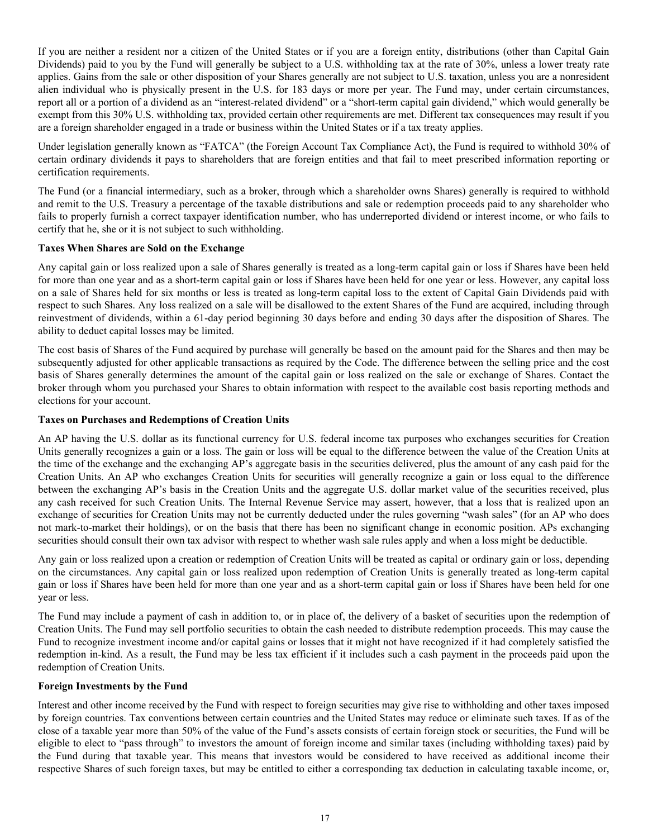<span id="page-18-0"></span>If you are neither a resident nor a citizen of the United States or if you are a foreign entity, distributions (other than Capital Gain Dividends) paid to you by the Fund will generally be subject to a U.S. withholding tax at the rate of 30%, unless a lower treaty rate applies. Gains from the sale or other disposition of your Shares generally are not subject to U.S. taxation, unless you are a nonresident alien individual who is physically present in the U.S. for 183 days or more per year. The Fund may, under certain circumstances, report all or a portion of a dividend as an "interest-related dividend" or a "short-term capital gain dividend," which would generally be exempt from this 30% U.S. withholding tax, provided certain other requirements are met. Different tax consequences may result if you are a foreign shareholder engaged in a trade or business within the United States or if a tax treaty applies.

Under legislation generally known as "FATCA" (the Foreign Account Tax Compliance Act), the Fund is required to withhold 30% of certain ordinary dividends it pays to shareholders that are foreign entities and that fail to meet prescribed information reporting or certification requirements.

The Fund (or a financial intermediary, such as a broker, through which a shareholder owns Shares) generally is required to withhold and remit to the U.S. Treasury a percentage of the taxable distributions and sale or redemption proceeds paid to any shareholder who fails to properly furnish a correct taxpayer identification number, who has underreported dividend or interest income, or who fails to certify that he, she or it is not subject to such withholding.

#### **Taxes When Shares are Sold on the Exchange**

Any capital gain or loss realized upon a sale of Shares generally is treated as a long-term capital gain or loss if Shares have been held for more than one year and as a short-term capital gain or loss if Shares have been held for one year or less. However, any capital loss on a sale of Shares held for six months or less is treated as long-term capital loss to the extent of Capital Gain Dividends paid with respect to such Shares. Any loss realized on a sale will be disallowed to the extent Shares of the Fund are acquired, including through reinvestment of dividends, within a 61-day period beginning 30 days before and ending 30 days after the disposition of Shares. The ability to deduct capital losses may be limited.

The cost basis of Shares of the Fund acquired by purchase will generally be based on the amount paid for the Shares and then may be subsequently adjusted for other applicable transactions as required by the Code. The difference between the selling price and the cost basis of Shares generally determines the amount of the capital gain or loss realized on the sale or exchange of Shares. Contact the broker through whom you purchased your Shares to obtain information with respect to the available cost basis reporting methods and elections for your account.

#### **Taxes on Purchases and Redemptions of Creation Units**

An AP having the U.S. dollar as its functional currency for U.S. federal income tax purposes who exchanges securities for Creation Units generally recognizes a gain or a loss. The gain or loss will be equal to the difference between the value of the Creation Units at the time of the exchange and the exchanging AP's aggregate basis in the securities delivered, plus the amount of any cash paid for the Creation Units. An AP who exchanges Creation Units for securities will generally recognize a gain or loss equal to the difference between the exchanging AP's basis in the Creation Units and the aggregate U.S. dollar market value of the securities received, plus any cash received for such Creation Units. The Internal Revenue Service may assert, however, that a loss that is realized upon an exchange of securities for Creation Units may not be currently deducted under the rules governing "wash sales" (for an AP who does not mark-to-market their holdings), or on the basis that there has been no significant change in economic position. APs exchanging securities should consult their own tax advisor with respect to whether wash sale rules apply and when a loss might be deductible.

Any gain or loss realized upon a creation or redemption of Creation Units will be treated as capital or ordinary gain or loss, depending on the circumstances. Any capital gain or loss realized upon redemption of Creation Units is generally treated as long-term capital gain or loss if Shares have been held for more than one year and as a short-term capital gain or loss if Shares have been held for one year or less.

The Fund may include a payment of cash in addition to, or in place of, the delivery of a basket of securities upon the redemption of Creation Units. The Fund may sell portfolio securities to obtain the cash needed to distribute redemption proceeds. This may cause the Fund to recognize investment income and/or capital gains or losses that it might not have recognized if it had completely satisfied the redemption in-kind. As a result, the Fund may be less tax efficient if it includes such a cash payment in the proceeds paid upon the redemption of Creation Units.

#### **Foreign Investments by the Fund**

Interest and other income received by the Fund with respect to foreign securities may give rise to withholding and other taxes imposed by foreign countries. Tax conventions between certain countries and the United States may reduce or eliminate such taxes. If as of the close of a taxable year more than 50% of the value of the Fund's assets consists of certain foreign stock or securities, the Fund will be eligible to elect to "pass through" to investors the amount of foreign income and similar taxes (including withholding taxes) paid by the Fund during that taxable year. This means that investors would be considered to have received as additional income their respective Shares of such foreign taxes, but may be entitled to either a corresponding tax deduction in calculating taxable income, or,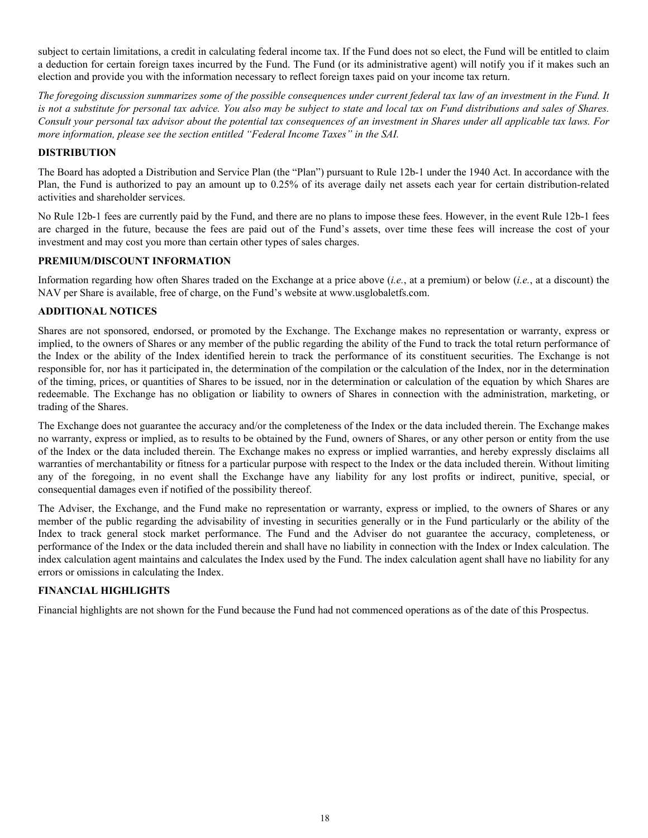<span id="page-19-0"></span>subject to certain limitations, a credit in calculating federal income tax. If the Fund does not so elect, the Fund will be entitled to claim a deduction for certain foreign taxes incurred by the Fund. The Fund (or its administrative agent) will notify you if it makes such an election and provide you with the information necessary to reflect foreign taxes paid on your income tax return.

*The foregoing discussion summarizes some of the possible consequences under current federal tax law of an investment in the Fund. It is not a substitute for personal tax advice. You also may be subject to state and local tax on Fund distributions and sales of Shares. Consult your personal tax advisor about the potential tax consequences of an investment in Shares under all applicable tax laws. For more information, please see the section entitled "Federal Income Taxes" in the SAI.*

#### **DISTRIBUTION**

The Board has adopted a Distribution and Service Plan (the "Plan") pursuant to Rule 12b-1 under the 1940 Act. In accordance with the Plan, the Fund is authorized to pay an amount up to 0.25% of its average daily net assets each year for certain distribution-related activities and shareholder services.

No Rule 12b-1 fees are currently paid by the Fund, and there are no plans to impose these fees. However, in the event Rule 12b-1 fees are charged in the future, because the fees are paid out of the Fund's assets, over time these fees will increase the cost of your investment and may cost you more than certain other types of sales charges.

#### **PREMIUM/DISCOUNT INFORMATION**

Information regarding how often Shares traded on the Exchange at a price above (*i.e.*, at a premium) or below (*i.e.*, at a discount) the NAV per Share is available, free of charge, on the Fund's website at www.usglobaletfs.com.

#### **ADDITIONAL NOTICES**

Shares are not sponsored, endorsed, or promoted by the Exchange. The Exchange makes no representation or warranty, express or implied, to the owners of Shares or any member of the public regarding the ability of the Fund to track the total return performance of the Index or the ability of the Index identified herein to track the performance of its constituent securities. The Exchange is not responsible for, nor has it participated in, the determination of the compilation or the calculation of the Index, nor in the determination of the timing, prices, or quantities of Shares to be issued, nor in the determination or calculation of the equation by which Shares are redeemable. The Exchange has no obligation or liability to owners of Shares in connection with the administration, marketing, or trading of the Shares.

The Exchange does not guarantee the accuracy and/or the completeness of the Index or the data included therein. The Exchange makes no warranty, express or implied, as to results to be obtained by the Fund, owners of Shares, or any other person or entity from the use of the Index or the data included therein. The Exchange makes no express or implied warranties, and hereby expressly disclaims all warranties of merchantability or fitness for a particular purpose with respect to the Index or the data included therein. Without limiting any of the foregoing, in no event shall the Exchange have any liability for any lost profits or indirect, punitive, special, or consequential damages even if notified of the possibility thereof.

The Adviser, the Exchange, and the Fund make no representation or warranty, express or implied, to the owners of Shares or any member of the public regarding the advisability of investing in securities generally or in the Fund particularly or the ability of the Index to track general stock market performance. The Fund and the Adviser do not guarantee the accuracy, completeness, or performance of the Index or the data included therein and shall have no liability in connection with the Index or Index calculation. The index calculation agent maintains and calculates the Index used by the Fund. The index calculation agent shall have no liability for any errors or omissions in calculating the Index.

#### **FINANCIAL HIGHLIGHTS**

Financial highlights are not shown for the Fund because the Fund had not commenced operations as of the date of this Prospectus.